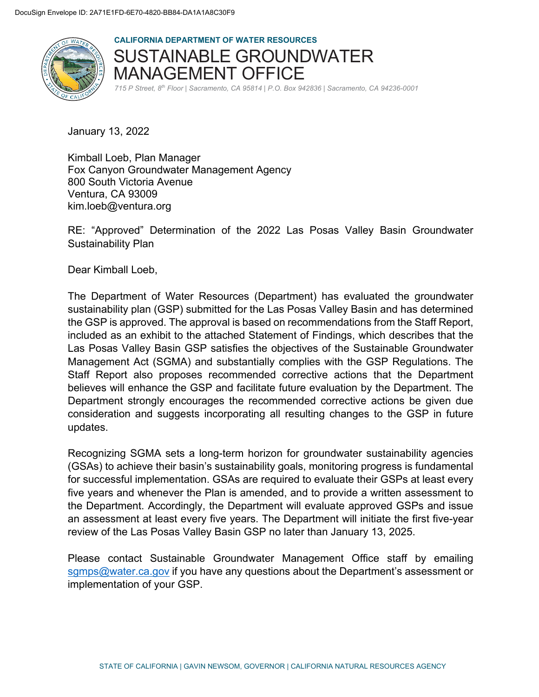

**CALIFORNIA DEPARTMENT OF WATER RESOURCES**  SUSTAINABLE GROUNDWATER MANAGEMENT OFFICE *715 P Street, 8th Floor | Sacramento, CA 95814 | P.O. Box 942836 | Sacramento, CA 94236-0001*

January 13, 2022

Kimball Loeb, Plan Manager Fox Canyon Groundwater Management Agency 800 South Victoria Avenue Ventura, CA 93009 kim.loeb@ventura.org

RE: "Approved" Determination of the 2022 Las Posas Valley Basin Groundwater Sustainability Plan

Dear Kimball Loeb,

The Department of Water Resources (Department) has evaluated the groundwater sustainability plan (GSP) submitted for the Las Posas Valley Basin and has determined the GSP is approved. The approval is based on recommendations from the Staff Report, included as an exhibit to the attached Statement of Findings, which describes that the Las Posas Valley Basin GSP satisfies the objectives of the Sustainable Groundwater Management Act (SGMA) and substantially complies with the GSP Regulations. The Staff Report also proposes recommended corrective actions that the Department believes will enhance the GSP and facilitate future evaluation by the Department. The Department strongly encourages the recommended corrective actions be given due consideration and suggests incorporating all resulting changes to the GSP in future updates.

Recognizing SGMA sets a long-term horizon for groundwater sustainability agencies (GSAs) to achieve their basin's sustainability goals, monitoring progress is fundamental for successful implementation. GSAs are required to evaluate their GSPs at least every five years and whenever the Plan is amended, and to provide a written assessment to the Department. Accordingly, the Department will evaluate approved GSPs and issue an assessment at least every five years. The Department will initiate the first five-year review of the Las Posas Valley Basin GSP no later than January 13, 2025.

Please contact Sustainable Groundwater Management Office staff by emailing [sgmps@water.ca.gov](mailto:sgmps@water.ca.gov) if you have any questions about the Department's assessment or implementation of your GSP.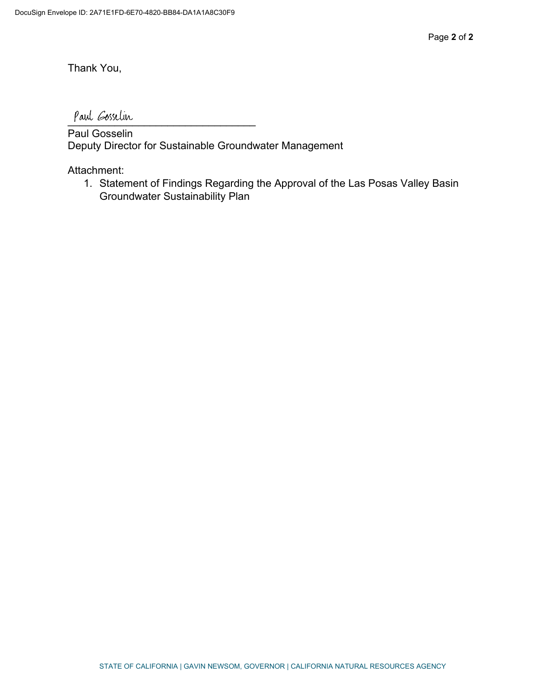Thank You,

Paul Gosselin

Paul Gosselin Deputy Director for Sustainable Groundwater Management

Attachment:

1. Statement of Findings Regarding the Approval of the Las Posas Valley Basin Groundwater Sustainability Plan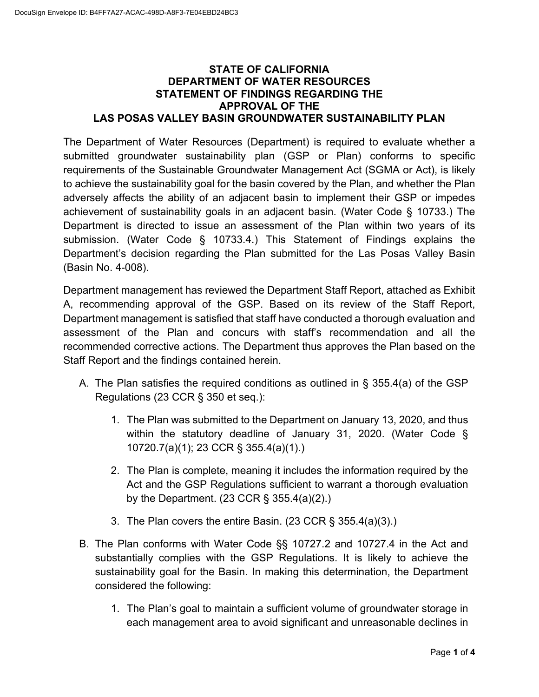### **STATE OF CALIFORNIA DEPARTMENT OF WATER RESOURCES STATEMENT OF FINDINGS REGARDING THE APPROVAL OF THE LAS POSAS VALLEY BASIN GROUNDWATER SUSTAINABILITY PLAN**

The Department of Water Resources (Department) is required to evaluate whether a submitted groundwater sustainability plan (GSP or Plan) conforms to specific requirements of the Sustainable Groundwater Management Act (SGMA or Act), is likely to achieve the sustainability goal for the basin covered by the Plan, and whether the Plan adversely affects the ability of an adjacent basin to implement their GSP or impedes achievement of sustainability goals in an adjacent basin. (Water Code § 10733.) The Department is directed to issue an assessment of the Plan within two years of its submission. (Water Code § 10733.4.) This Statement of Findings explains the Department's decision regarding the Plan submitted for the Las Posas Valley Basin (Basin No. 4-008).

Department management has reviewed the Department Staff Report, attached as Exhibit A, recommending approval of the GSP. Based on its review of the Staff Report, Department management is satisfied that staff have conducted a thorough evaluation and assessment of the Plan and concurs with staff's recommendation and all the recommended corrective actions. The Department thus approves the Plan based on the Staff Report and the findings contained herein.

- A. The Plan satisfies the required conditions as outlined in § 355.4(a) of the GSP Regulations (23 CCR § 350 et seq.):
	- 1. The Plan was submitted to the Department on January 13, 2020, and thus within the statutory deadline of January 31, 2020. (Water Code § 10720.7(a)(1); 23 CCR § 355.4(a)(1).)
	- 2. The Plan is complete, meaning it includes the information required by the Act and the GSP Regulations sufficient to warrant a thorough evaluation by the Department. (23 CCR § 355.4(a)(2).)
	- 3. The Plan covers the entire Basin. (23 CCR § 355.4(a)(3).)
- B. The Plan conforms with Water Code §§ 10727.2 and 10727.4 in the Act and substantially complies with the GSP Regulations. It is likely to achieve the sustainability goal for the Basin. In making this determination, the Department considered the following:
	- 1. The Plan's goal to maintain a sufficient volume of groundwater storage in each management area to avoid significant and unreasonable declines in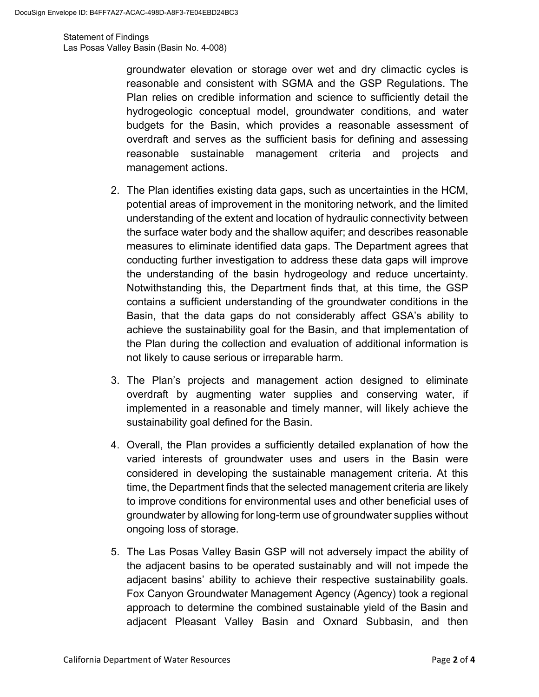Statement of Findings Las Posas Valley Basin (Basin No. 4-008)

> groundwater elevation or storage over wet and dry climactic cycles is reasonable and consistent with SGMA and the GSP Regulations. The Plan relies on credible information and science to sufficiently detail the hydrogeologic conceptual model, groundwater conditions, and water budgets for the Basin, which provides a reasonable assessment of overdraft and serves as the sufficient basis for defining and assessing reasonable sustainable management criteria and projects and management actions.

- 2. The Plan identifies existing data gaps, such as uncertainties in the HCM, potential areas of improvement in the monitoring network, and the limited understanding of the extent and location of hydraulic connectivity between the surface water body and the shallow aquifer; and describes reasonable measures to eliminate identified data gaps. The Department agrees that conducting further investigation to address these data gaps will improve the understanding of the basin hydrogeology and reduce uncertainty. Notwithstanding this, the Department finds that, at this time, the GSP contains a sufficient understanding of the groundwater conditions in the Basin, that the data gaps do not considerably affect GSA's ability to achieve the sustainability goal for the Basin, and that implementation of the Plan during the collection and evaluation of additional information is not likely to cause serious or irreparable harm.
- 3. The Plan's projects and management action designed to eliminate overdraft by augmenting water supplies and conserving water, if implemented in a reasonable and timely manner, will likely achieve the sustainability goal defined for the Basin.
- 4. Overall, the Plan provides a sufficiently detailed explanation of how the varied interests of groundwater uses and users in the Basin were considered in developing the sustainable management criteria. At this time, the Department finds that the selected management criteria are likely to improve conditions for environmental uses and other beneficial uses of groundwater by allowing for long-term use of groundwater supplies without ongoing loss of storage.
- 5. The Las Posas Valley Basin GSP will not adversely impact the ability of the adjacent basins to be operated sustainably and will not impede the adjacent basins' ability to achieve their respective sustainability goals. Fox Canyon Groundwater Management Agency (Agency) took a regional approach to determine the combined sustainable yield of the Basin and adjacent Pleasant Valley Basin and Oxnard Subbasin, and then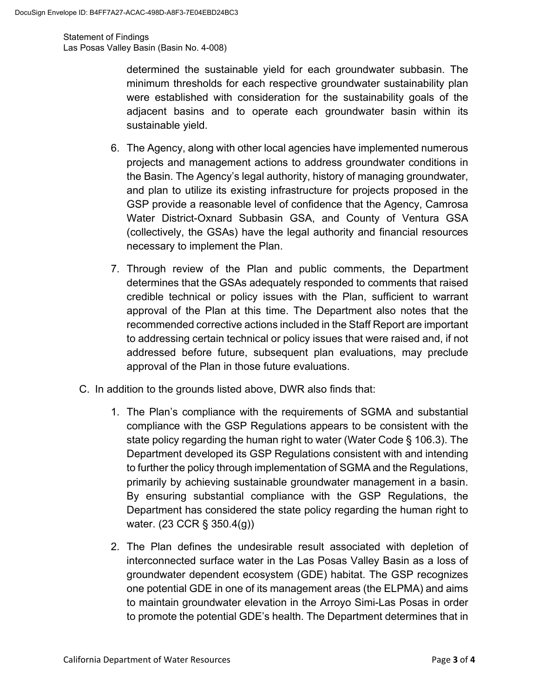Statement of Findings Las Posas Valley Basin (Basin No. 4-008)

> determined the sustainable yield for each groundwater subbasin. The minimum thresholds for each respective groundwater sustainability plan were established with consideration for the sustainability goals of the adjacent basins and to operate each groundwater basin within its sustainable yield.

- 6. The Agency, along with other local agencies have implemented numerous projects and management actions to address groundwater conditions in the Basin. The Agency's legal authority, history of managing groundwater, and plan to utilize its existing infrastructure for projects proposed in the GSP provide a reasonable level of confidence that the Agency, Camrosa Water District-Oxnard Subbasin GSA, and County of Ventura GSA (collectively, the GSAs) have the legal authority and financial resources necessary to implement the Plan.
- 7. Through review of the Plan and public comments, the Department determines that the GSAs adequately responded to comments that raised credible technical or policy issues with the Plan, sufficient to warrant approval of the Plan at this time. The Department also notes that the recommended corrective actions included in the Staff Report are important to addressing certain technical or policy issues that were raised and, if not addressed before future, subsequent plan evaluations, may preclude approval of the Plan in those future evaluations.
- C. In addition to the grounds listed above, DWR also finds that:
	- 1. The Plan's compliance with the requirements of SGMA and substantial compliance with the GSP Regulations appears to be consistent with the state policy regarding the human right to water (Water Code § 106.3). The Department developed its GSP Regulations consistent with and intending to further the policy through implementation of SGMA and the Regulations, primarily by achieving sustainable groundwater management in a basin. By ensuring substantial compliance with the GSP Regulations, the Department has considered the state policy regarding the human right to water. (23 CCR § 350.4(g))
	- 2. The Plan defines the undesirable result associated with depletion of interconnected surface water in the Las Posas Valley Basin as a loss of groundwater dependent ecosystem (GDE) habitat. The GSP recognizes one potential GDE in one of its management areas (the ELPMA) and aims to maintain groundwater elevation in the Arroyo Simi-Las Posas in order to promote the potential GDE's health. The Department determines that in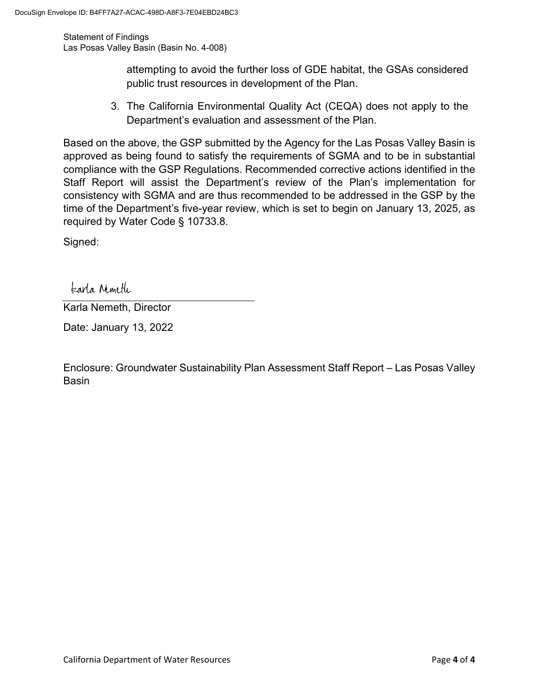Statement of Findings Las Posas Valley Basin (Basin No. 4-008)

> attempting to avoid the further loss of GDE habitat, the GSAs considered public trust resources in development of the Plan.

3. The California Environmental Quality Act (CEQA) does not apply to the Department's evaluation and assessment of the Plan.

Based on the above, the GSP submitted by the Agency for the Las Posas Valley Basin is approved as being found to satisfy the requirements of SGMA and to be in substantial compliance with the GSP Regulations. Recommended corrective actions identified in the Staff Report will assist the Department's review of the Plan's implementation for consistency with SGMA and are thus recommended to be addressed in the GSP by the time of the Department's five-year review, which is set to begin on January 13, 2025, as required by Water Code § 10733.8.

Signed:

tearla Nemeth

Karla Nemeth, Director

Date: January 13, 2022

Enclosure: Groundwater Sustainability Plan Assessment Staff Report – Las Posas Valley Basin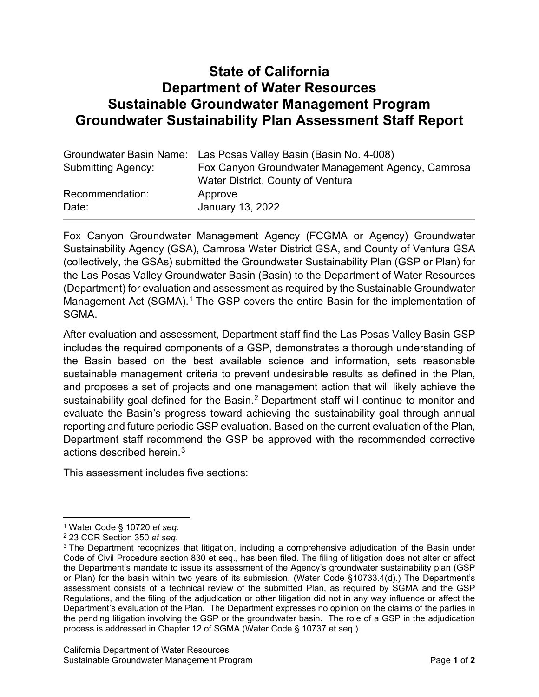# **State of California Department of Water Resources Sustainable Groundwater Management Program Groundwater Sustainability Plan Assessment Staff Report**

|                    | Groundwater Basin Name: Las Posas Valley Basin (Basin No. 4-008) |
|--------------------|------------------------------------------------------------------|
| Submitting Agency: | Fox Canyon Groundwater Management Agency, Camrosa                |
|                    | Water District, County of Ventura                                |
| Recommendation:    | Approve                                                          |
| Date:              | January 13, 2022                                                 |

Fox Canyon Groundwater Management Agency (FCGMA or Agency) Groundwater Sustainability Agency (GSA), Camrosa Water District GSA, and County of Ventura GSA (collectively, the GSAs) submitted the Groundwater Sustainability Plan (GSP or Plan) for the Las Posas Valley Groundwater Basin (Basin) to the Department of Water Resources (Department) for evaluation and assessment as required by the Sustainable Groundwater Management Act (SGMA).<sup>[1](#page-6-0)</sup> The GSP covers the entire Basin for the implementation of SGMA.

After evaluation and assessment, Department staff find the Las Posas Valley Basin GSP includes the required components of a GSP, demonstrates a thorough understanding of the Basin based on the best available science and information, sets reasonable sustainable management criteria to prevent undesirable results as defined in the Plan, and proposes a set of projects and one management action that will likely achieve the sustainability goal defined for the Basin.<sup>[2](#page-6-1)</sup> Department staff will continue to monitor and evaluate the Basin's progress toward achieving the sustainability goal through annual reporting and future periodic GSP evaluation. Based on the current evaluation of the Plan, Department staff recommend the GSP be approved with the recommended corrective actions described herein. $^3$  $^3$ 

This assessment includes five sections:

<span id="page-6-0"></span><sup>1</sup> Water Code § 10720 *et seq*.

<span id="page-6-1"></span><sup>2</sup> 23 CCR Section 350 *et seq*.

<span id="page-6-2"></span><sup>&</sup>lt;sup>3</sup> The Department recognizes that litigation, including a comprehensive adjudication of the Basin under Code of Civil Procedure section 830 et seq., has been filed. The filing of litigation does not alter or affect the Department's mandate to issue its assessment of the Agency's groundwater sustainability plan (GSP or Plan) for the basin within two years of its submission. (Water Code §10733.4(d).) The Department's assessment consists of a technical review of the submitted Plan, as required by SGMA and the GSP Regulations, and the filing of the adjudication or other litigation did not in any way influence or affect the Department's evaluation of the Plan. The Department expresses no opinion on the claims of the parties in the pending litigation involving the GSP or the groundwater basin. The role of a GSP in the adjudication process is addressed in Chapter 12 of SGMA (Water Code § 10737 et seq.).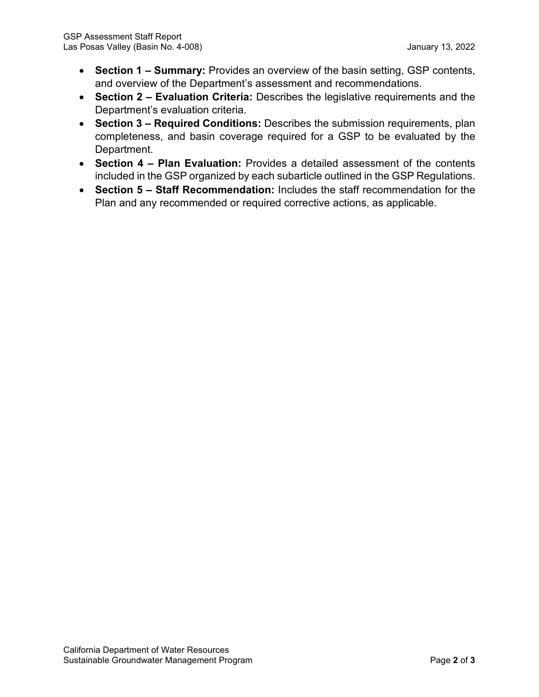- **Section 1 – Summary:** Provides an overview of the basin setting, GSP contents, and overview of the Department's assessment and recommendations.
- **Section 2 – Evaluation Criteria:** Describes the legislative requirements and the Department's evaluation criteria.
- **Section 3 – Required Conditions:** Describes the submission requirements, plan completeness, and basin coverage required for a GSP to be evaluated by the Department.
- **Section 4 – Plan Evaluation:** Provides a detailed assessment of the contents included in the GSP organized by each subarticle outlined in the GSP Regulations.
- **Section 5 – Staff Recommendation:** Includes the staff recommendation for the Plan and any recommended or required corrective actions, as applicable.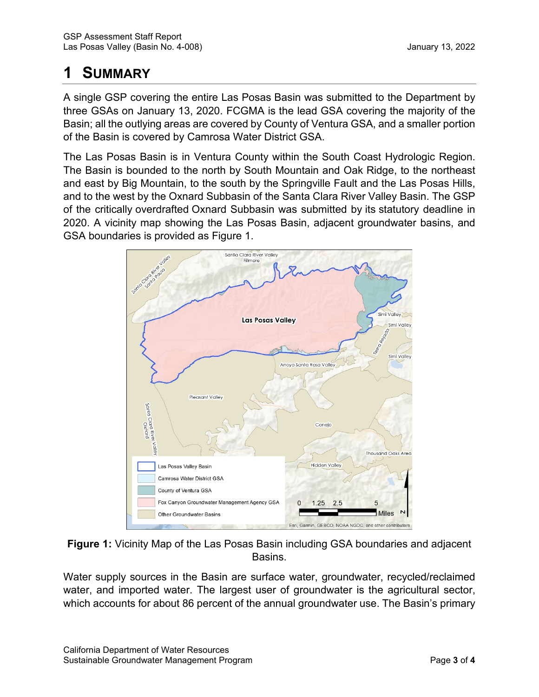# **1 SUMMARY**

A single GSP covering the entire Las Posas Basin was submitted to the Department by three GSAs on January 13, 2020. FCGMA is the lead GSA covering the majority of the Basin; all the outlying areas are covered by County of Ventura GSA, and a smaller portion of the Basin is covered by Camrosa Water District GSA.

The Las Posas Basin is in Ventura County within the South Coast Hydrologic Region. The Basin is bounded to the north by South Mountain and Oak Ridge, to the northeast and east by Big Mountain, to the south by the Springville Fault and the Las Posas Hills, and to the west by the Oxnard Subbasin of the Santa Clara River Valley Basin. The GSP of the critically overdrafted Oxnard Subbasin was submitted by its statutory deadline in 2020. A vicinity map showing the Las Posas Basin, adjacent groundwater basins, and GSA boundaries is provided as Figure 1.



**Figure 1:** Vicinity Map of the Las Posas Basin including GSA boundaries and adjacent Basins.

Water supply sources in the Basin are surface water, groundwater, recycled/reclaimed water, and imported water. The largest user of groundwater is the agricultural sector, which accounts for about 86 percent of the annual groundwater use. The Basin's primary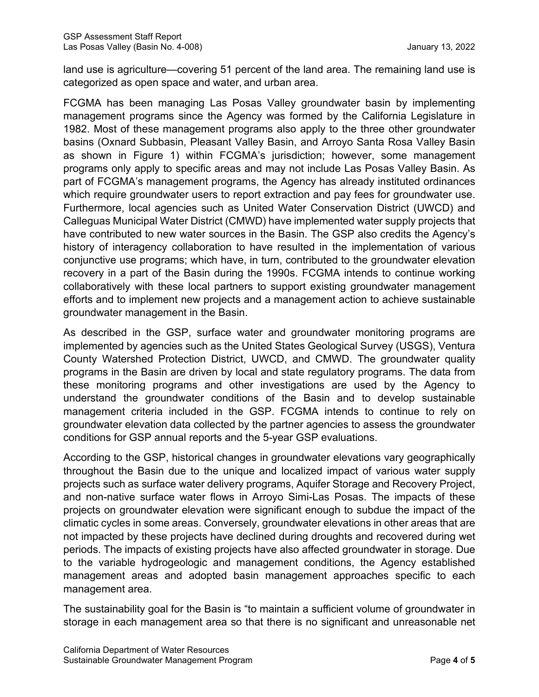land use is agriculture—covering 51 percent of the land area. The remaining land use is categorized as open space and water, and urban area.

FCGMA has been managing Las Posas Valley groundwater basin by implementing management programs since the Agency was formed by the California Legislature in 1982. Most of these management programs also apply to the three other groundwater basins (Oxnard Subbasin, Pleasant Valley Basin, and Arroyo Santa Rosa Valley Basin as shown in Figure 1) within FCGMA's jurisdiction; however, some management programs only apply to specific areas and may not include Las Posas Valley Basin. As part of FCGMA's management programs, the Agency has already instituted ordinances which require groundwater users to report extraction and pay fees for groundwater use. Furthermore, local agencies such as United Water Conservation District (UWCD) and Calleguas Municipal Water District (CMWD) have implemented water supply projects that have contributed to new water sources in the Basin. The GSP also credits the Agency's history of interagency collaboration to have resulted in the implementation of various conjunctive use programs; which have, in turn, contributed to the groundwater elevation recovery in a part of the Basin during the 1990s. FCGMA intends to continue working collaboratively with these local partners to support existing groundwater management efforts and to implement new projects and a management action to achieve sustainable groundwater management in the Basin.

As described in the GSP, surface water and groundwater monitoring programs are implemented by agencies such as the United States Geological Survey (USGS), Ventura County Watershed Protection District, UWCD, and CMWD. The groundwater quality programs in the Basin are driven by local and state regulatory programs. The data from these monitoring programs and other investigations are used by the Agency to understand the groundwater conditions of the Basin and to develop sustainable management criteria included in the GSP. FCGMA intends to continue to rely on groundwater elevation data collected by the partner agencies to assess the groundwater conditions for GSP annual reports and the 5-year GSP evaluations.

According to the GSP, historical changes in groundwater elevations vary geographically throughout the Basin due to the unique and localized impact of various water supply projects such as surface water delivery programs, Aquifer Storage and Recovery Project, and non-native surface water flows in Arroyo Simi-Las Posas. The impacts of these projects on groundwater elevation were significant enough to subdue the impact of the climatic cycles in some areas. Conversely, groundwater elevations in other areas that are not impacted by these projects have declined during droughts and recovered during wet periods. The impacts of existing projects have also affected groundwater in storage. Due to the variable hydrogeologic and management conditions, the Agency established management areas and adopted basin management approaches specific to each management area.

The sustainability goal for the Basin is "to maintain a sufficient volume of groundwater in storage in each management area so that there is no significant and unreasonable net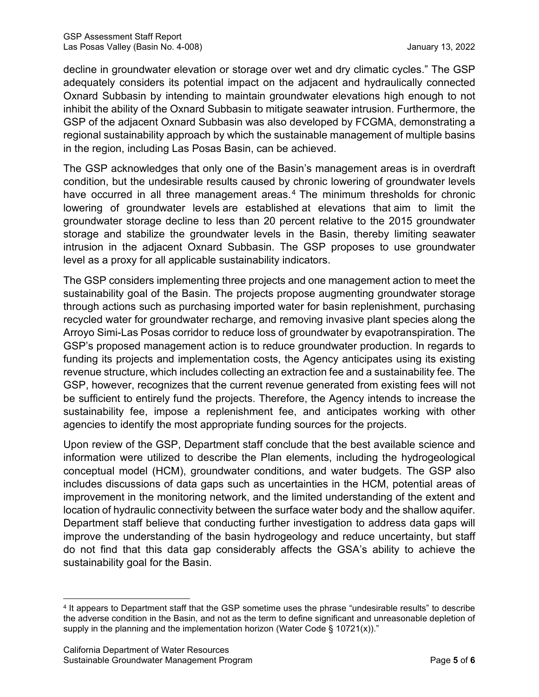decline in groundwater elevation or storage over wet and dry climatic cycles." The GSP adequately considers its potential impact on the adjacent and hydraulically connected Oxnard Subbasin by intending to maintain groundwater elevations high enough to not inhibit the ability of the Oxnard Subbasin to mitigate seawater intrusion. Furthermore, the GSP of the adjacent Oxnard Subbasin was also developed by FCGMA, demonstrating a regional sustainability approach by which the sustainable management of multiple basins in the region, including Las Posas Basin, can be achieved.

The GSP acknowledges that only one of the Basin's management areas is in overdraft condition, but the undesirable results caused by chronic lowering of groundwater levels have occurred in all three management areas.<sup>[4](#page-10-0)</sup> The minimum thresholds for chronic lowering of groundwater levels are established at elevations that aim to limit the groundwater storage decline to less than 20 percent relative to the 2015 groundwater storage and stabilize the groundwater levels in the Basin, thereby limiting seawater intrusion in the adjacent Oxnard Subbasin. The GSP proposes to use groundwater level as a proxy for all applicable sustainability indicators.

The GSP considers implementing three projects and one management action to meet the sustainability goal of the Basin. The projects propose augmenting groundwater storage through actions such as purchasing imported water for basin replenishment, purchasing recycled water for groundwater recharge, and removing invasive plant species along the Arroyo Simi-Las Posas corridor to reduce loss of groundwater by evapotranspiration. The GSP's proposed management action is to reduce groundwater production. In regards to funding its projects and implementation costs, the Agency anticipates using its existing revenue structure, which includes collecting an extraction fee and a sustainability fee. The GSP, however, recognizes that the current revenue generated from existing fees will not be sufficient to entirely fund the projects. Therefore, the Agency intends to increase the sustainability fee, impose a replenishment fee, and anticipates working with other agencies to identify the most appropriate funding sources for the projects.

Upon review of the GSP, Department staff conclude that the best available science and information were utilized to describe the Plan elements, including the hydrogeological conceptual model (HCM), groundwater conditions, and water budgets. The GSP also includes discussions of data gaps such as uncertainties in the HCM, potential areas of improvement in the monitoring network, and the limited understanding of the extent and location of hydraulic connectivity between the surface water body and the shallow aquifer. Department staff believe that conducting further investigation to address data gaps will improve the understanding of the basin hydrogeology and reduce uncertainty, but staff do not find that this data gap considerably affects the GSA's ability to achieve the sustainability goal for the Basin.

<span id="page-10-0"></span><sup>4</sup> It appears to Department staff that the GSP sometime uses the phrase "undesirable results" to describe the adverse condition in the Basin, and not as the term to define significant and unreasonable depletion of supply in the planning and the implementation horizon (Water Code § 10721(x))."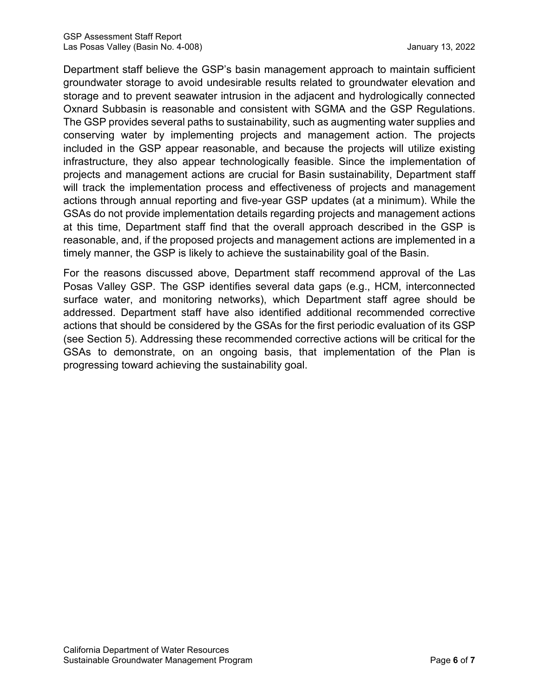Department staff believe the GSP's basin management approach to maintain sufficient groundwater storage to avoid undesirable results related to groundwater elevation and storage and to prevent seawater intrusion in the adjacent and hydrologically connected Oxnard Subbasin is reasonable and consistent with SGMA and the GSP Regulations. The GSP provides several paths to sustainability, such as augmenting water supplies and conserving water by implementing projects and management action. The projects included in the GSP appear reasonable, and because the projects will utilize existing infrastructure, they also appear technologically feasible. Since the implementation of projects and management actions are crucial for Basin sustainability, Department staff will track the implementation process and effectiveness of projects and management actions through annual reporting and five-year GSP updates (at a minimum). While the GSAs do not provide implementation details regarding projects and management actions at this time, Department staff find that the overall approach described in the GSP is reasonable, and, if the proposed projects and management actions are implemented in a timely manner, the GSP is likely to achieve the sustainability goal of the Basin.

For the reasons discussed above, Department staff recommend approval of the Las Posas Valley GSP. The GSP identifies several data gaps (e.g., HCM, interconnected surface water, and monitoring networks), which Department staff agree should be addressed. Department staff have also identified additional recommended corrective actions that should be considered by the GSAs for the first periodic evaluation of its GSP (see Section 5). Addressing these recommended corrective actions will be critical for the GSAs to demonstrate, on an ongoing basis, that implementation of the Plan is progressing toward achieving the sustainability goal.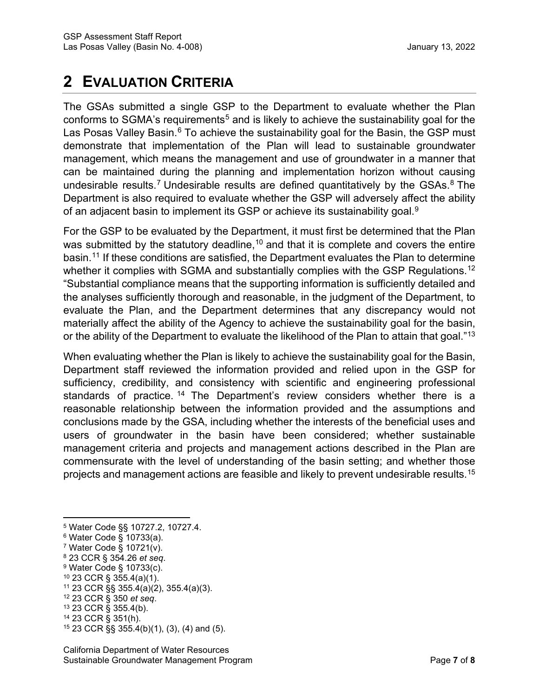# **2 EVALUATION CRITERIA**

The GSAs submitted a single GSP to the Department to evaluate whether the Plan conforms to SGMA's requirements<sup>[5](#page-12-0)</sup> and is likely to achieve the sustainability goal for the Las Posas Valley Basin.<sup>[6](#page-12-1)</sup> To achieve the sustainability goal for the Basin, the GSP must demonstrate that implementation of the Plan will lead to sustainable groundwater management, which means the management and use of groundwater in a manner that can be maintained during the planning and implementation horizon without causing undesirable results.<sup>[7](#page-12-2)</sup> Undesirable results are defined quantitatively by the GSAs.<sup>[8](#page-12-3)</sup> The Department is also required to evaluate whether the GSP will adversely affect the ability of an adjacent basin to implement its GSP or achieve its sustainability goal.<sup>[9](#page-12-4)</sup>

For the GSP to be evaluated by the Department, it must first be determined that the Plan was submitted by the statutory deadline,  $10$  and that it is complete and covers the entire basin.<sup>[11](#page-12-6)</sup> If these conditions are satisfied, the Department evaluates the Plan to determine whether it complies with SGMA and substantially complies with the GSP Regulations.<sup>[12](#page-12-7)</sup> "Substantial compliance means that the supporting information is sufficiently detailed and the analyses sufficiently thorough and reasonable, in the judgment of the Department, to evaluate the Plan, and the Department determines that any discrepancy would not materially affect the ability of the Agency to achieve the sustainability goal for the basin, or the ability of the Department to evaluate the likelihood of the Plan to attain that goal."<sup>[13](#page-12-8)</sup>

When evaluating whether the Plan is likely to achieve the sustainability goal for the Basin, Department staff reviewed the information provided and relied upon in the GSP for sufficiency, credibility, and consistency with scientific and engineering professional standards of practice. [14](#page-12-9) The Department's review considers whether there is a reasonable relationship between the information provided and the assumptions and conclusions made by the GSA, including whether the interests of the beneficial uses and users of groundwater in the basin have been considered; whether sustainable management criteria and projects and management actions described in the Plan are commensurate with the level of understanding of the basin setting; and whether those projects and management actions are feasible and likely to prevent undesirable results.[15](#page-12-10)

<span id="page-12-5"></span><sup>10</sup> 23 CCR § 355.4(a)(1).

<span id="page-12-0"></span><sup>5</sup> Water Code §§ 10727.2, 10727.4.

<span id="page-12-1"></span><sup>6</sup> Water Code § 10733(a).

<span id="page-12-2"></span><sup>7</sup> Water Code § 10721(v).

<span id="page-12-3"></span><sup>8</sup> 23 CCR § 354.26 *et seq*.

<span id="page-12-4"></span><sup>9</sup> Water Code § 10733(c).

<span id="page-12-6"></span><sup>11</sup> 23 CCR §§ 355.4(a)(2), 355.4(a)(3).

<span id="page-12-7"></span><sup>12</sup> 23 CCR § 350 *et seq*. <sup>13</sup> 23 CCR § 355.4(b).

<span id="page-12-8"></span>

<span id="page-12-9"></span><sup>14</sup> 23 CCR § 351(h).

<span id="page-12-10"></span><sup>15</sup> 23 CCR §§ 355.4(b)(1), (3), (4) and (5).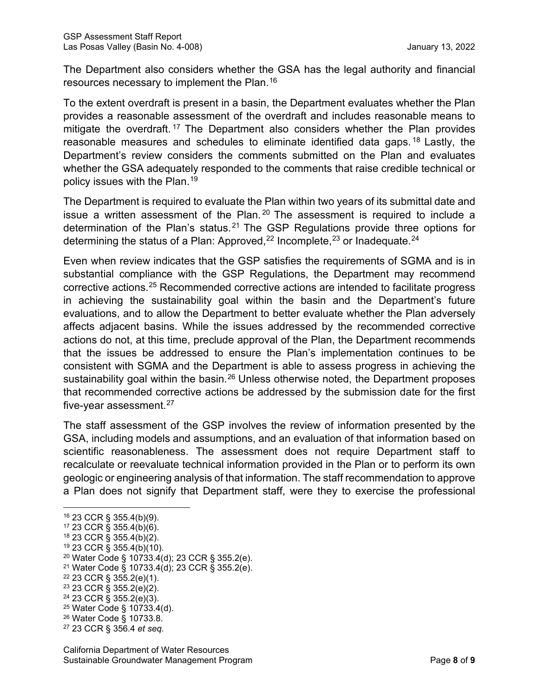The Department also considers whether the GSA has the legal authority and financial resources necessary to implement the Plan.<sup>[16](#page-13-0)</sup>

To the extent overdraft is present in a basin, the Department evaluates whether the Plan provides a reasonable assessment of the overdraft and includes reasonable means to mitigate the overdraft. [17](#page-13-1) The Department also considers whether the Plan provides reasonable measures and schedules to eliminate identified data gaps. [18](#page-13-2) Lastly, the Department's review considers the comments submitted on the Plan and evaluates whether the GSA adequately responded to the comments that raise credible technical or policy issues with the Plan.[19](#page-13-3)

The Department is required to evaluate the Plan within two years of its submittal date and issue a written assessment of the Plan.  $20$  The assessment is required to include a determination of the Plan's status.<sup>[21](#page-13-5)</sup> The GSP Regulations provide three options for determining the status of a Plan: Approved, $^\mathrm{22}$  $^\mathrm{22}$  $^\mathrm{22}$  Incomplete, $^\mathrm{23}$  $^\mathrm{23}$  $^\mathrm{23}$  or Inadequate. $^\mathrm{24}$  $^\mathrm{24}$  $^\mathrm{24}$ 

Even when review indicates that the GSP satisfies the requirements of SGMA and is in substantial compliance with the GSP Regulations, the Department may recommend corrective actions.[25](#page-13-9) Recommended corrective actions are intended to facilitate progress in achieving the sustainability goal within the basin and the Department's future evaluations, and to allow the Department to better evaluate whether the Plan adversely affects adjacent basins. While the issues addressed by the recommended corrective actions do not, at this time, preclude approval of the Plan, the Department recommends that the issues be addressed to ensure the Plan's implementation continues to be consistent with SGMA and the Department is able to assess progress in achieving the sustainability goal within the basin.<sup>[26](#page-13-10)</sup> Unless otherwise noted, the Department proposes that recommended corrective actions be addressed by the submission date for the first five-year assessment. [27](#page-13-11)

The staff assessment of the GSP involves the review of information presented by the GSA, including models and assumptions, and an evaluation of that information based on scientific reasonableness. The assessment does not require Department staff to recalculate or reevaluate technical information provided in the Plan or to perform its own geologic or engineering analysis of that information. The staff recommendation to approve a Plan does not signify that Department staff, were they to exercise the professional

<span id="page-13-4"></span><sup>20</sup> Water Code § 10733.4(d); 23 CCR § 355.2(e).

<span id="page-13-6"></span><sup>22</sup> 23 CCR § 355.2(e)(1).

<span id="page-13-8"></span> $24$  23 CCR § 355.2(e)(3).

<span id="page-13-10"></span><sup>26</sup> Water Code § 10733.8.

<span id="page-13-0"></span><sup>16</sup> 23 CCR § 355.4(b)(9).

<span id="page-13-1"></span><sup>17</sup> 23 CCR § 355.4(b)(6).

<span id="page-13-2"></span><sup>18</sup> 23 CCR § 355.4(b)(2).

<span id="page-13-3"></span><sup>19</sup> 23 CCR § 355.4(b)(10).

<span id="page-13-5"></span><sup>21</sup> Water Code § 10733.4(d); 23 CCR § 355.2(e).

<span id="page-13-7"></span><sup>23</sup> 23 CCR § 355.2(e)(2).

<span id="page-13-9"></span><sup>25</sup> Water Code § 10733.4(d).

<span id="page-13-11"></span><sup>27</sup> 23 CCR § 356.4 *et seq*.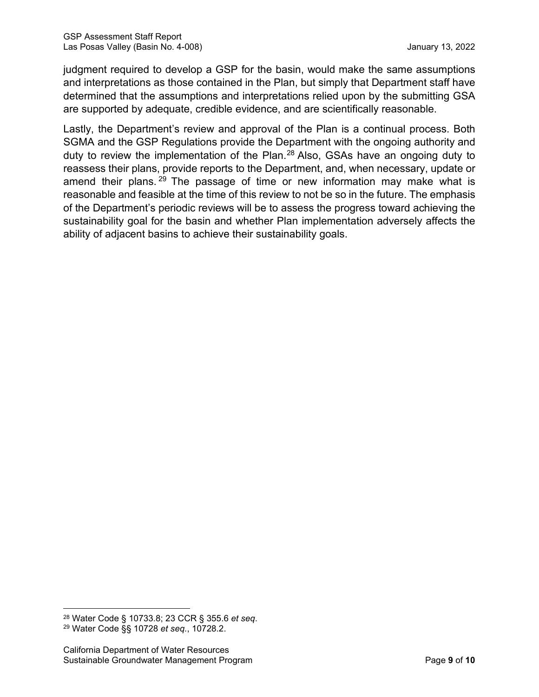judgment required to develop a GSP for the basin, would make the same assumptions and interpretations as those contained in the Plan, but simply that Department staff have determined that the assumptions and interpretations relied upon by the submitting GSA are supported by adequate, credible evidence, and are scientifically reasonable.

Lastly, the Department's review and approval of the Plan is a continual process. Both SGMA and the GSP Regulations provide the Department with the ongoing authority and duty to review the implementation of the Plan.<sup>[28](#page-14-0)</sup> Also, GSAs have an ongoing duty to reassess their plans, provide reports to the Department, and, when necessary, update or amend their plans.  $29$  The passage of time or new information may make what is reasonable and feasible at the time of this review to not be so in the future. The emphasis of the Department's periodic reviews will be to assess the progress toward achieving the sustainability goal for the basin and whether Plan implementation adversely affects the ability of adjacent basins to achieve their sustainability goals.

<span id="page-14-1"></span><span id="page-14-0"></span><sup>28</sup> Water Code § 10733.8; 23 CCR § 355.6 *et seq*. <sup>29</sup> Water Code §§ 10728 *et seq.*, 10728.2.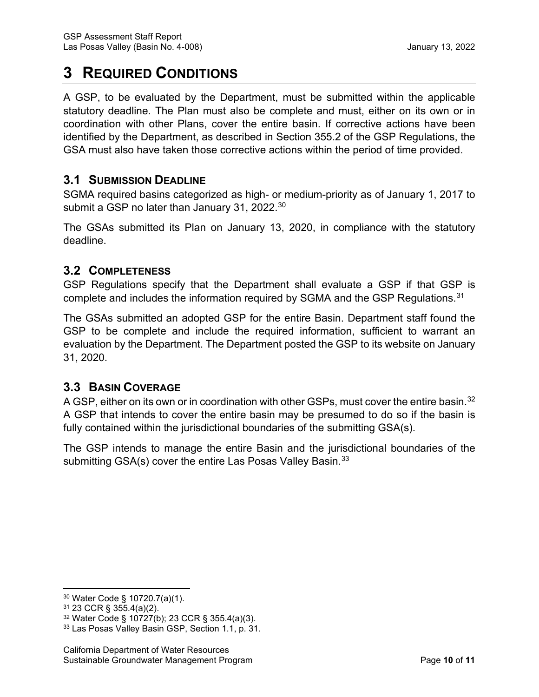# **3 REQUIRED CONDITIONS**

A GSP, to be evaluated by the Department, must be submitted within the applicable statutory deadline. The Plan must also be complete and must, either on its own or in coordination with other Plans, cover the entire basin. If corrective actions have been identified by the Department, as described in Section 355.2 of the GSP Regulations, the GSA must also have taken those corrective actions within the period of time provided.

# **3.1 SUBMISSION DEADLINE**

SGMA required basins categorized as high- or medium-priority as of January 1, 2017 to submit a GSP no later than January 31, 2022. $^{\rm 30}$  $^{\rm 30}$  $^{\rm 30}$ 

The GSAs submitted its Plan on January 13, 2020, in compliance with the statutory deadline.

# **3.2 COMPLETENESS**

GSP Regulations specify that the Department shall evaluate a GSP if that GSP is complete and includes the information required by SGMA and the GSP Regulations.<sup>[31](#page-15-1)</sup>

The GSAs submitted an adopted GSP for the entire Basin. Department staff found the GSP to be complete and include the required information, sufficient to warrant an evaluation by the Department. The Department posted the GSP to its website on January 31, 2020.

# **3.3 BASIN COVERAGE**

A GSP, either on its own or in coordination with other GSPs, must cover the entire basin.<sup>[32](#page-15-2)</sup> A GSP that intends to cover the entire basin may be presumed to do so if the basin is fully contained within the jurisdictional boundaries of the submitting GSA(s).

The GSP intends to manage the entire Basin and the jurisdictional boundaries of the submitting GSA(s) cover the entire Las Posas Valley Basin.<sup>[33](#page-15-3)</sup>

<span id="page-15-0"></span><sup>30</sup> Water Code § 10720.7(a)(1).

<span id="page-15-1"></span><sup>31</sup> 23 CCR § 355.4(a)(2).

<span id="page-15-2"></span><sup>32</sup> Water Code § 10727(b); 23 CCR § 355.4(a)(3).

<span id="page-15-3"></span><sup>33</sup> Las Posas Valley Basin GSP, Section 1.1, p. 31.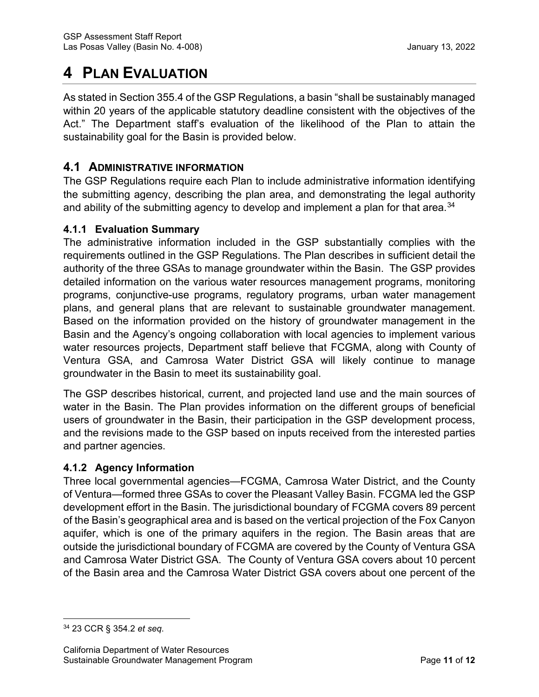# **4 PLAN EVALUATION**

As stated in Section 355.4 of the GSP Regulations, a basin "shall be sustainably managed within 20 years of the applicable statutory deadline consistent with the objectives of the Act." The Department staff's evaluation of the likelihood of the Plan to attain the sustainability goal for the Basin is provided below.

# **4.1 ADMINISTRATIVE INFORMATION**

The GSP Regulations require each Plan to include administrative information identifying the submitting agency, describing the plan area, and demonstrating the legal authority and ability of the submitting agency to develop and implement a plan for that area. $^{\rm 34}$  $^{\rm 34}$  $^{\rm 34}$ 

### **4.1.1 Evaluation Summary**

The administrative information included in the GSP substantially complies with the requirements outlined in the GSP Regulations. The Plan describes in sufficient detail the authority of the three GSAs to manage groundwater within the Basin. The GSP provides detailed information on the various water resources management programs, monitoring programs, conjunctive-use programs, regulatory programs, urban water management plans, and general plans that are relevant to sustainable groundwater management. Based on the information provided on the history of groundwater management in the Basin and the Agency's ongoing collaboration with local agencies to implement various water resources projects, Department staff believe that FCGMA, along with County of Ventura GSA, and Camrosa Water District GSA will likely continue to manage groundwater in the Basin to meet its sustainability goal.

The GSP describes historical, current, and projected land use and the main sources of water in the Basin. The Plan provides information on the different groups of beneficial users of groundwater in the Basin, their participation in the GSP development process, and the revisions made to the GSP based on inputs received from the interested parties and partner agencies.

# **4.1.2 Agency Information**

Three local governmental agencies—FCGMA, Camrosa Water District, and the County of Ventura—formed three GSAs to cover the Pleasant Valley Basin. FCGMA led the GSP development effort in the Basin. The jurisdictional boundary of FCGMA covers 89 percent of the Basin's geographical area and is based on the vertical projection of the Fox Canyon aquifer, which is one of the primary aquifers in the region. The Basin areas that are outside the jurisdictional boundary of FCGMA are covered by the County of Ventura GSA and Camrosa Water District GSA. The County of Ventura GSA covers about 10 percent of the Basin area and the Camrosa Water District GSA covers about one percent of the

<span id="page-16-0"></span><sup>34</sup> 23 CCR § 354.2 *et seq*.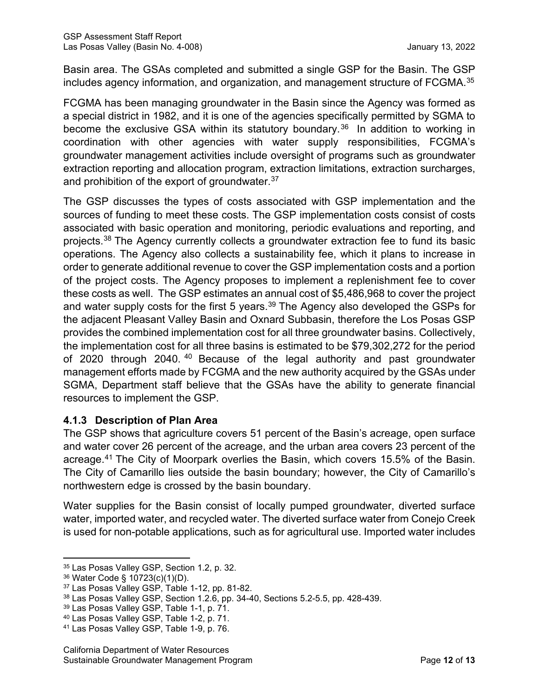Basin area. The GSAs completed and submitted a single GSP for the Basin. The GSP includes agency information, and organization, and management structure of FCGMA.[35](#page-17-0)

FCGMA has been managing groundwater in the Basin since the Agency was formed as a special district in 1982, and it is one of the agencies specifically permitted by SGMA to become the exclusive GSA within its statutory boundary.<sup>[36](#page-17-1)</sup> In addition to working in coordination with other agencies with water supply responsibilities, FCGMA's groundwater management activities include oversight of programs such as groundwater extraction reporting and allocation program, extraction limitations, extraction surcharges, and prohibition of the export of groundwater.<sup>[37](#page-17-2)</sup>

The GSP discusses the types of costs associated with GSP implementation and the sources of funding to meet these costs. The GSP implementation costs consist of costs associated with basic operation and monitoring, periodic evaluations and reporting, and projects. [38](#page-17-3) The Agency currently collects a groundwater extraction fee to fund its basic operations. The Agency also collects a sustainability fee, which it plans to increase in order to generate additional revenue to cover the GSP implementation costs and a portion of the project costs. The Agency proposes to implement a replenishment fee to cover these costs as well. The GSP estimates an annual cost of \$5,486,968 to cover the project and water supply costs for the first 5 years.<sup>[39](#page-17-4)</sup> The Agency also developed the GSPs for the adjacent Pleasant Valley Basin and Oxnard Subbasin, therefore the Los Posas GSP provides the combined implementation cost for all three groundwater basins. Collectively, the implementation cost for all three basins is estimated to be \$79,302,272 for the period of 2020 through 20[40](#page-17-5).<sup>40</sup> Because of the legal authority and past groundwater management efforts made by FCGMA and the new authority acquired by the GSAs under SGMA, Department staff believe that the GSAs have the ability to generate financial resources to implement the GSP.

#### **4.1.3 Description of Plan Area**

The GSP shows that agriculture covers 51 percent of the Basin's acreage, open surface and water cover 26 percent of the acreage, and the urban area covers 23 percent of the acreage. [41](#page-17-6) The City of Moorpark overlies the Basin, which covers 15.5% of the Basin. The City of Camarillo lies outside the basin boundary; however, the City of Camarillo's northwestern edge is crossed by the basin boundary.

Water supplies for the Basin consist of locally pumped groundwater, diverted surface water, imported water, and recycled water. The diverted surface water from Conejo Creek is used for non-potable applications, such as for agricultural use. Imported water includes

<span id="page-17-0"></span><sup>35</sup> Las Posas Valley GSP, Section 1.2, p. 32.

<span id="page-17-1"></span><sup>36</sup> Water Code § 10723(c)(1)(D).

<span id="page-17-2"></span><sup>37</sup> Las Posas Valley GSP, Table 1-12, pp. 81-82.

<span id="page-17-3"></span><sup>38</sup> Las Posas Valley GSP, Section 1.2.6, pp. 34-40, Sections 5.2-5.5, pp. 428-439.

<span id="page-17-4"></span><sup>39</sup> Las Posas Valley GSP, Table 1-1, p. 71.

<span id="page-17-5"></span><sup>40</sup> Las Posas Valley GSP, Table 1-2, p. 71.

<span id="page-17-6"></span><sup>41</sup> Las Posas Valley GSP, Table 1-9, p. 76.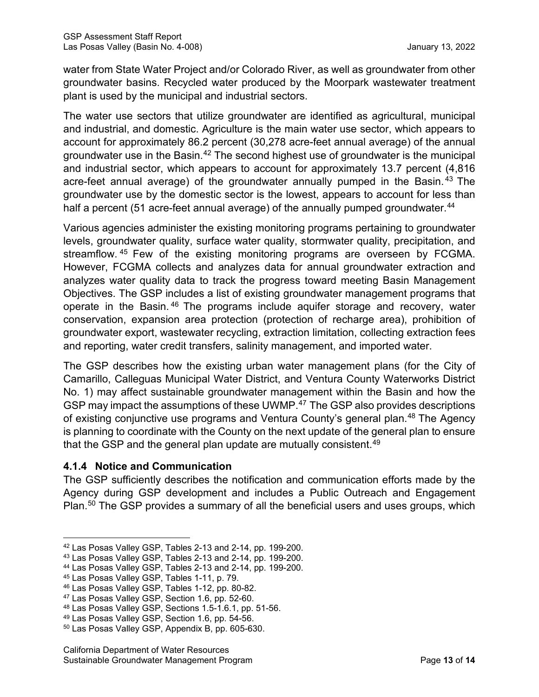water from State Water Project and/or Colorado River, as well as groundwater from other groundwater basins. Recycled water produced by the Moorpark wastewater treatment plant is used by the municipal and industrial sectors.

The water use sectors that utilize groundwater are identified as agricultural, municipal and industrial, and domestic. Agriculture is the main water use sector, which appears to account for approximately 86.2 percent (30,278 acre-feet annual average) of the annual groundwater use in the Basin.<sup>[42](#page-18-0)</sup> The second highest use of groundwater is the municipal and industrial sector, which appears to account for approximately 13.7 percent (4,816 acre-feet annual average) of the groundwater annually pumped in the Basin.<sup>[43](#page-18-1)</sup> The groundwater use by the domestic sector is the lowest, appears to account for less than half a percent (51 acre-feet annual average) of the annually pumped groundwater.<sup>[44](#page-18-2)</sup>

Various agencies administer the existing monitoring programs pertaining to groundwater levels, groundwater quality, surface water quality, stormwater quality, precipitation, and streamflow. [45](#page-18-3) Few of the existing monitoring programs are overseen by FCGMA. However, FCGMA collects and analyzes data for annual groundwater extraction and analyzes water quality data to track the progress toward meeting Basin Management Objectives. The GSP includes a list of existing groundwater management programs that operate in the Basin. [46](#page-18-4) The programs include aquifer storage and recovery, water conservation, expansion area protection (protection of recharge area), prohibition of groundwater export, wastewater recycling, extraction limitation, collecting extraction fees and reporting, water credit transfers, salinity management, and imported water.

The GSP describes how the existing urban water management plans (for the City of Camarillo, Calleguas Municipal Water District, and Ventura County Waterworks District No. 1) may affect sustainable groundwater management within the Basin and how the GSP may impact the assumptions of these UWMP.<sup>47</sup> The GSP also provides descriptions of existing conjunctive use programs and Ventura County's general plan.<sup>[48](#page-18-6)</sup> The Agency is planning to coordinate with the County on the next update of the general plan to ensure that the GSP and the general plan update are mutually consistent.<sup>[49](#page-18-7)</sup>

# **4.1.4 Notice and Communication**

The GSP sufficiently describes the notification and communication efforts made by the Agency during GSP development and includes a Public Outreach and Engagement Plan.<sup>[50](#page-18-8)</sup> The GSP provides a summary of all the beneficial users and uses groups, which

<span id="page-18-1"></span><span id="page-18-0"></span><sup>42</sup> Las Posas Valley GSP, Tables 2-13 and 2-14, pp. 199-200.

 $^{43}$  Las Posas Valley GSP, Tables 2-13 and 2-14, pp. 199-200.

<span id="page-18-2"></span><sup>44</sup> Las Posas Valley GSP, Tables 2-13 and 2-14, pp. 199-200.

<span id="page-18-3"></span><sup>45</sup> Las Posas Valley GSP, Tables 1-11, p. 79.

<span id="page-18-4"></span><sup>46</sup> Las Posas Valley GSP, Tables 1-12, pp. 80-82.

<span id="page-18-5"></span><sup>47</sup> Las Posas Valley GSP, Section 1.6, pp. 52-60.

<span id="page-18-6"></span><sup>48</sup> Las Posas Valley GSP, Sections 1.5-1.6.1, pp. 51-56.

<span id="page-18-7"></span><sup>49</sup> Las Posas Valley GSP, Section 1.6, pp. 54-56.

<span id="page-18-8"></span><sup>50</sup> Las Posas Valley GSP, Appendix B, pp. 605-630.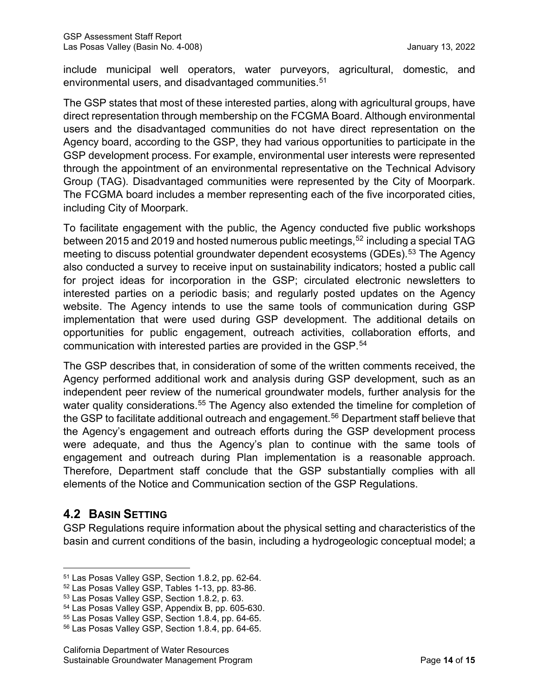include municipal well operators, water purveyors, agricultural, domestic, and environmental users, and disadvantaged communities.<sup>[51](#page-19-0)</sup>

The GSP states that most of these interested parties, along with agricultural groups, have direct representation through membership on the FCGMA Board. Although environmental users and the disadvantaged communities do not have direct representation on the Agency board, according to the GSP, they had various opportunities to participate in the GSP development process. For example, environmental user interests were represented through the appointment of an environmental representative on the Technical Advisory Group (TAG). Disadvantaged communities were represented by the City of Moorpark. The FCGMA board includes a member representing each of the five incorporated cities, including City of Moorpark.

To facilitate engagement with the public, the Agency conducted five public workshops between 2015 and 2019 and hosted numerous public meetings, [52](#page-19-1) including a special TAG meeting to discuss potential groundwater dependent ecosystems (GDEs). [53](#page-19-2) The Agency also conducted a survey to receive input on sustainability indicators; hosted a public call for project ideas for incorporation in the GSP; circulated electronic newsletters to interested parties on a periodic basis; and regularly posted updates on the Agency website. The Agency intends to use the same tools of communication during GSP implementation that were used during GSP development. The additional details on opportunities for public engagement, outreach activities, collaboration efforts, and communication with interested parties are provided in the GSP. [54](#page-19-3)

The GSP describes that, in consideration of some of the written comments received, the Agency performed additional work and analysis during GSP development, such as an independent peer review of the numerical groundwater models, further analysis for the water quality considerations.<sup>[55](#page-19-4)</sup> The Agency also extended the timeline for completion of the GSP to facilitate additional outreach and engagement. [56](#page-19-5) Department staff believe that the Agency's engagement and outreach efforts during the GSP development process were adequate, and thus the Agency's plan to continue with the same tools of engagement and outreach during Plan implementation is a reasonable approach. Therefore, Department staff conclude that the GSP substantially complies with all elements of the Notice and Communication section of the GSP Regulations.

# **4.2 BASIN SETTING**

GSP Regulations require information about the physical setting and characteristics of the basin and current conditions of the basin, including a hydrogeologic conceptual model; a

<span id="page-19-0"></span><sup>51</sup> Las Posas Valley GSP, Section 1.8.2, pp. 62-64.

<span id="page-19-1"></span><sup>52</sup> Las Posas Valley GSP, Tables 1-13, pp. 83-86.

<span id="page-19-2"></span><sup>53</sup> Las Posas Valley GSP, Section 1.8.2, p. 63.

<span id="page-19-3"></span><sup>54</sup> Las Posas Valley GSP, Appendix B, pp. 605-630.

<span id="page-19-4"></span><sup>55</sup> Las Posas Valley GSP, Section 1.8.4, pp. 64-65.

<span id="page-19-5"></span><sup>56</sup> Las Posas Valley GSP, Section 1.8.4, pp. 64-65.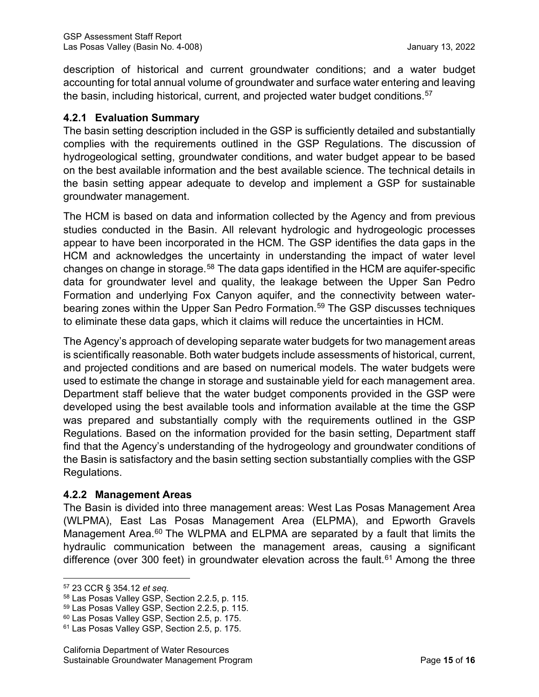description of historical and current groundwater conditions; and a water budget accounting for total annual volume of groundwater and surface water entering and leaving the basin, including historical, current, and projected water budget conditions. [57](#page-20-0)

#### **4.2.1 Evaluation Summary**

The basin setting description included in the GSP is sufficiently detailed and substantially complies with the requirements outlined in the GSP Regulations. The discussion of hydrogeological setting, groundwater conditions, and water budget appear to be based on the best available information and the best available science. The technical details in the basin setting appear adequate to develop and implement a GSP for sustainable groundwater management.

The HCM is based on data and information collected by the Agency and from previous studies conducted in the Basin. All relevant hydrologic and hydrogeologic processes appear to have been incorporated in the HCM. The GSP identifies the data gaps in the HCM and acknowledges the uncertainty in understanding the impact of water level changes on change in storage.<sup>[58](#page-20-1)</sup> The data gaps identified in the HCM are aquifer-specific data for groundwater level and quality, the leakage between the Upper San Pedro Formation and underlying Fox Canyon aquifer, and the connectivity between waterbearing zones within the Upper San Pedro Formation. [59](#page-20-2) The GSP discusses techniques to eliminate these data gaps, which it claims will reduce the uncertainties in HCM.

The Agency's approach of developing separate water budgets for two management areas is scientifically reasonable. Both water budgets include assessments of historical, current, and projected conditions and are based on numerical models. The water budgets were used to estimate the change in storage and sustainable yield for each management area. Department staff believe that the water budget components provided in the GSP were developed using the best available tools and information available at the time the GSP was prepared and substantially comply with the requirements outlined in the GSP Regulations. Based on the information provided for the basin setting, Department staff find that the Agency's understanding of the hydrogeology and groundwater conditions of the Basin is satisfactory and the basin setting section substantially complies with the GSP Regulations.

#### **4.2.2 Management Areas**

The Basin is divided into three management areas: West Las Posas Management Area (WLPMA), East Las Posas Management Area (ELPMA), and Epworth Gravels Management Area.<sup>[60](#page-20-3)</sup> The WLPMA and ELPMA are separated by a fault that limits the hydraulic communication between the management areas, causing a significant difference (over 300 feet) in groundwater elevation across the fault.<sup>[61](#page-20-4)</sup> Among the three

<span id="page-20-0"></span><sup>57</sup> 23 CCR § 354.12 *et seq.*

<span id="page-20-1"></span><sup>58</sup> Las Posas Valley GSP, Section 2.2.5, p. 115.

<span id="page-20-2"></span><sup>59</sup> Las Posas Valley GSP, Section 2.2.5, p. 115.

<span id="page-20-3"></span><sup>60</sup> Las Posas Valley GSP, Section 2.5, p. 175.

<span id="page-20-4"></span><sup>61</sup> Las Posas Valley GSP, Section 2.5, p. 175.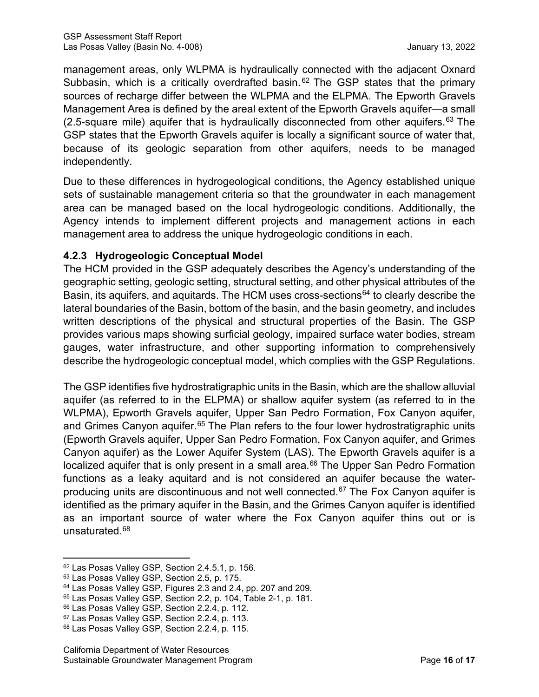management areas, only WLPMA is hydraulically connected with the adjacent Oxnard Subbasin, which is a critically overdrafted basin.  $62$  The GSP states that the primary sources of recharge differ between the WLPMA and the ELPMA. The Epworth Gravels Management Area is defined by the areal extent of the Epworth Gravels aquifer—a small (2.5-square mile) aquifer that is hydraulically disconnected from other aquifers.<sup>[63](#page-21-1)</sup> The GSP states that the Epworth Gravels aquifer is locally a significant source of water that, because of its geologic separation from other aquifers, needs to be managed independently.

Due to these differences in hydrogeological conditions, the Agency established unique sets of sustainable management criteria so that the groundwater in each management area can be managed based on the local hydrogeologic conditions. Additionally, the Agency intends to implement different projects and management actions in each management area to address the unique hydrogeologic conditions in each.

### **4.2.3 Hydrogeologic Conceptual Model**

The HCM provided in the GSP adequately describes the Agency's understanding of the geographic setting, geologic setting, structural setting, and other physical attributes of the Basin, its aquifers, and aquitards. The HCM uses cross-sections<sup>[64](#page-21-2)</sup> to clearly describe the lateral boundaries of the Basin, bottom of the basin, and the basin geometry, and includes written descriptions of the physical and structural properties of the Basin. The GSP provides various maps showing surficial geology, impaired surface water bodies, stream gauges, water infrastructure, and other supporting information to comprehensively describe the hydrogeologic conceptual model, which complies with the GSP Regulations.

The GSP identifies five hydrostratigraphic units in the Basin, which are the shallow alluvial aquifer (as referred to in the ELPMA) or shallow aquifer system (as referred to in the WLPMA), Epworth Gravels aquifer, Upper San Pedro Formation, Fox Canyon aquifer, and Grimes Canyon aquifer.<sup>[65](#page-21-3)</sup> The Plan refers to the four lower hydrostratigraphic units (Epworth Gravels aquifer, Upper San Pedro Formation, Fox Canyon aquifer, and Grimes Canyon aquifer) as the Lower Aquifer System (LAS). The Epworth Gravels aquifer is a localized aquifer that is only present in a small area. [66](#page-21-4) The Upper San Pedro Formation functions as a leaky aquitard and is not considered an aquifer because the water-producing units are discontinuous and not well connected.<sup>[67](#page-21-5)</sup> The Fox Canyon aquifer is identified as the primary aquifer in the Basin, and the Grimes Canyon aquifer is identified as an important source of water where the Fox Canyon aquifer thins out or is unsaturated.[68](#page-21-6)

<span id="page-21-0"></span><sup>62</sup> Las Posas Valley GSP, Section 2.4.5.1, p. 156.

<span id="page-21-1"></span><sup>63</sup> Las Posas Valley GSP, Section 2.5, p. 175.

<span id="page-21-2"></span><sup>64</sup> Las Posas Valley GSP, Figures 2.3 and 2.4, pp. 207 and 209.

<span id="page-21-3"></span><sup>65</sup> Las Posas Valley GSP, Section 2.2, p. 104, Table 2-1, p. 181.

<span id="page-21-4"></span><sup>66</sup> Las Posas Valley GSP, Section 2.2.4, p. 112.

<span id="page-21-5"></span><sup>67</sup> Las Posas Valley GSP, Section 2.2.4, p. 113.

<span id="page-21-6"></span><sup>68</sup> Las Posas Valley GSP, Section 2.2.4, p. 115.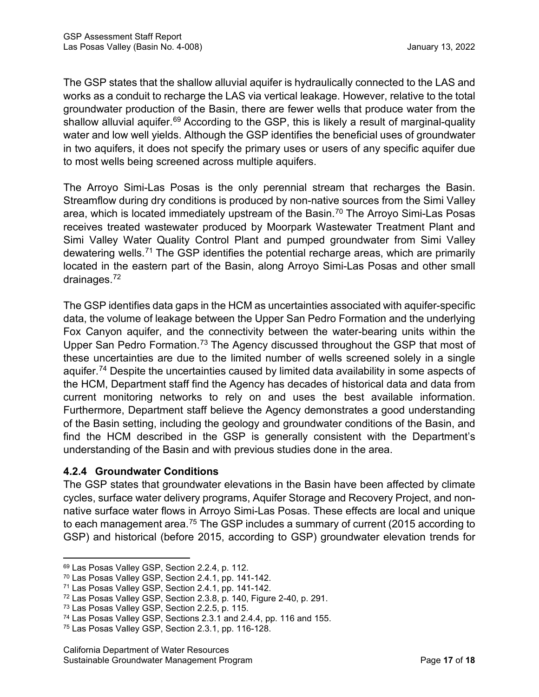The GSP states that the shallow alluvial aquifer is hydraulically connected to the LAS and works as a conduit to recharge the LAS via vertical leakage. However, relative to the total groundwater production of the Basin, there are fewer wells that produce water from the shallow alluvial aquifer.<sup>[69](#page-22-0)</sup> According to the GSP, this is likely a result of marginal-quality water and low well yields. Although the GSP identifies the beneficial uses of groundwater in two aquifers, it does not specify the primary uses or users of any specific aquifer due to most wells being screened across multiple aquifers.

The Arroyo Simi-Las Posas is the only perennial stream that recharges the Basin. Streamflow during dry conditions is produced by non-native sources from the Simi Valley area, which is located immediately upstream of the Basin. [70](#page-22-1) The Arroyo Simi-Las Posas receives treated wastewater produced by Moorpark Wastewater Treatment Plant and Simi Valley Water Quality Control Plant and pumped groundwater from Simi Valley dewatering wells.<sup>[71](#page-22-2)</sup> The GSP identifies the potential recharge areas, which are primarily located in the eastern part of the Basin, along Arroyo Simi-Las Posas and other small drainages.<sup>[72](#page-22-3)</sup>

The GSP identifies data gaps in the HCM as uncertainties associated with aquifer-specific data, the volume of leakage between the Upper San Pedro Formation and the underlying Fox Canyon aquifer, and the connectivity between the water-bearing units within the Upper San Pedro Formation.<sup>[73](#page-22-4)</sup> The Agency discussed throughout the GSP that most of these uncertainties are due to the limited number of wells screened solely in a single aquifer.<sup>[74](#page-22-5)</sup> Despite the uncertainties caused by limited data availability in some aspects of the HCM, Department staff find the Agency has decades of historical data and data from current monitoring networks to rely on and uses the best available information. Furthermore, Department staff believe the Agency demonstrates a good understanding of the Basin setting, including the geology and groundwater conditions of the Basin, and find the HCM described in the GSP is generally consistent with the Department's understanding of the Basin and with previous studies done in the area.

# **4.2.4 Groundwater Conditions**

The GSP states that groundwater elevations in the Basin have been affected by climate cycles, surface water delivery programs, Aquifer Storage and Recovery Project, and nonnative surface water flows in Arroyo Simi-Las Posas. These effects are local and unique to each management area. $^{75}$  $^{75}$  $^{75}$  The GSP includes a summary of current (2015 according to  $\,$ GSP) and historical (before 2015, according to GSP) groundwater elevation trends for

<span id="page-22-0"></span><sup>69</sup> Las Posas Valley GSP, Section 2.2.4, p. 112.

<span id="page-22-1"></span><sup>70</sup> Las Posas Valley GSP, Section 2.4.1, pp. 141-142.

<span id="page-22-2"></span><sup>71</sup> Las Posas Valley GSP, Section 2.4.1, pp. 141-142.

<span id="page-22-3"></span><sup>72</sup> Las Posas Valley GSP, Section 2.3.8, p. 140, Figure 2-40, p. 291.

<span id="page-22-4"></span><sup>73</sup> Las Posas Valley GSP, Section 2.2.5, p. 115.

<span id="page-22-5"></span><sup>74</sup> Las Posas Valley GSP, Sections 2.3.1 and 2.4.4, pp. 116 and 155.

<span id="page-22-6"></span><sup>75</sup> Las Posas Valley GSP, Section 2.3.1, pp. 116-128.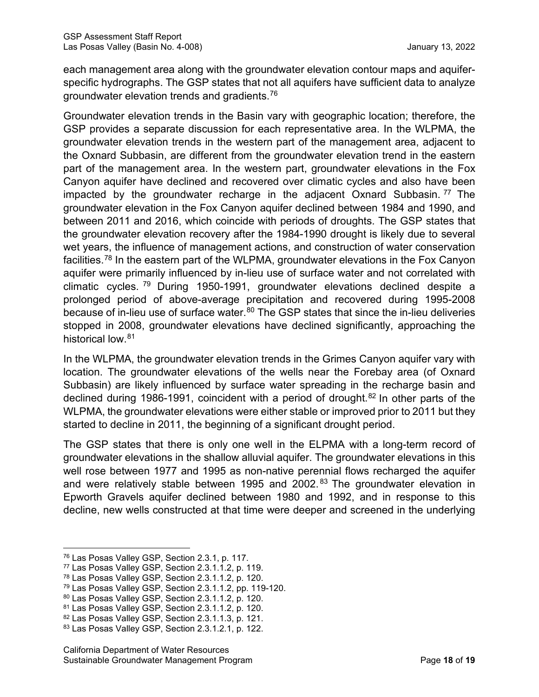each management area along with the groundwater elevation contour maps and aquiferspecific hydrographs. The GSP states that not all aquifers have sufficient data to analyze groundwater elevation trends and gradients. $^{76}$  $^{76}$  $^{76}$ 

Groundwater elevation trends in the Basin vary with geographic location; therefore, the GSP provides a separate discussion for each representative area. In the WLPMA, the groundwater elevation trends in the western part of the management area, adjacent to the Oxnard Subbasin, are different from the groundwater elevation trend in the eastern part of the management area. In the western part, groundwater elevations in the Fox Canyon aquifer have declined and recovered over climatic cycles and also have been impacted by the groundwater recharge in the adjacent Oxnard Subbasin.  $77$  The groundwater elevation in the Fox Canyon aquifer declined between 1984 and 1990, and between 2011 and 2016, which coincide with periods of droughts. The GSP states that the groundwater elevation recovery after the 1984-1990 drought is likely due to several wet years, the influence of management actions, and construction of water conservation facilities.[78](#page-23-2) In the eastern part of the WLPMA, groundwater elevations in the Fox Canyon aquifer were primarily influenced by in-lieu use of surface water and not correlated with climatic cycles. [79](#page-23-3) During 1950-1991, groundwater elevations declined despite a prolonged period of above-average precipitation and recovered during 1995-2008 because of in-lieu use of surface water.<sup>[80](#page-23-4)</sup> The GSP states that since the in-lieu deliveries stopped in 2008, groundwater elevations have declined significantly, approaching the historical low.<sup>[81](#page-23-5)</sup>

In the WLPMA, the groundwater elevation trends in the Grimes Canyon aquifer vary with location. The groundwater elevations of the wells near the Forebay area (of Oxnard Subbasin) are likely influenced by surface water spreading in the recharge basin and declined during 1986-1991, coincident with a period of drought. [82](#page-23-6) In other parts of the WLPMA, the groundwater elevations were either stable or improved prior to 2011 but they started to decline in 2011, the beginning of a significant drought period.

The GSP states that there is only one well in the ELPMA with a long-term record of groundwater elevations in the shallow alluvial aquifer. The groundwater elevations in this well rose between 1977 and 1995 as non-native perennial flows recharged the aquifer and were relatively stable between 1995 and 2002.<sup>[83](#page-23-7)</sup> The groundwater elevation in Epworth Gravels aquifer declined between 1980 and 1992, and in response to this decline, new wells constructed at that time were deeper and screened in the underlying

<span id="page-23-0"></span><sup>76</sup> Las Posas Valley GSP, Section 2.3.1, p. 117.

<span id="page-23-1"></span><sup>77</sup> Las Posas Valley GSP, Section 2.3.1.1.2, p. 119.

<span id="page-23-2"></span><sup>78</sup> Las Posas Valley GSP, Section 2.3.1.1.2, p. 120.

<span id="page-23-3"></span><sup>79</sup> Las Posas Valley GSP, Section 2.3.1.1.2, pp. 119-120.

<span id="page-23-4"></span><sup>80</sup> Las Posas Valley GSP, Section 2.3.1.1.2, p. 120.

<span id="page-23-5"></span><sup>81</sup> Las Posas Valley GSP, Section 2.3.1.1.2, p. 120.

<span id="page-23-6"></span><sup>82</sup> Las Posas Valley GSP, Section 2.3.1.1.3, p. 121.

<span id="page-23-7"></span><sup>83</sup> Las Posas Valley GSP, Section 2.3.1.2.1, p. 122.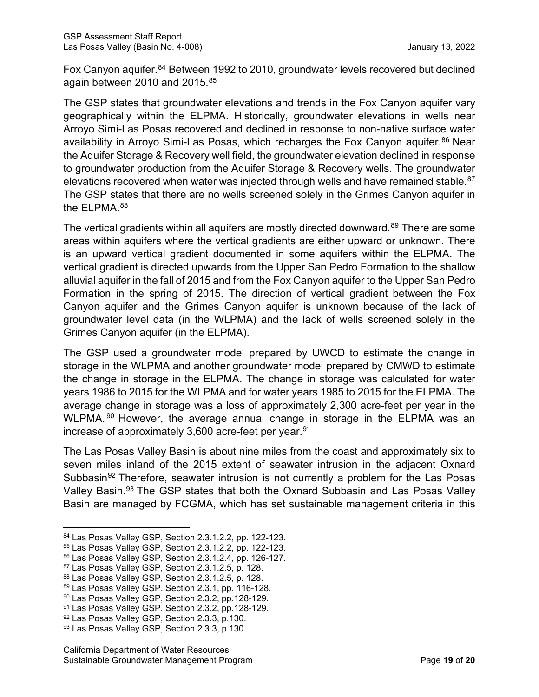Fox Canyon aquifer.<sup>[84](#page-24-0)</sup> Between 1992 to 2010, groundwater levels recovered but declined again between 2010 and 2015.<sup>[85](#page-24-1)</sup>

The GSP states that groundwater elevations and trends in the Fox Canyon aquifer vary geographically within the ELPMA. Historically, groundwater elevations in wells near Arroyo Simi-Las Posas recovered and declined in response to non-native surface water availability in Arroyo Simi-Las Posas, which recharges the Fox Canyon aquifer.<sup>[86](#page-24-2)</sup> Near the Aquifer Storage & Recovery well field, the groundwater elevation declined in response to groundwater production from the Aquifer Storage & Recovery wells. The groundwater elevations recovered when water was injected through wells and have remained stable.<sup>[87](#page-24-3)</sup> The GSP states that there are no wells screened solely in the Grimes Canyon aquifer in the ELPMA.<sup>[88](#page-24-4)</sup>

The vertical gradients within all aquifers are mostly directed downward. [89](#page-24-5) There are some areas within aquifers where the vertical gradients are either upward or unknown. There is an upward vertical gradient documented in some aquifers within the ELPMA. The vertical gradient is directed upwards from the Upper San Pedro Formation to the shallow alluvial aquifer in the fall of 2015 and from the Fox Canyon aquifer to the Upper San Pedro Formation in the spring of 2015. The direction of vertical gradient between the Fox Canyon aquifer and the Grimes Canyon aquifer is unknown because of the lack of groundwater level data (in the WLPMA) and the lack of wells screened solely in the Grimes Canyon aquifer (in the ELPMA).

The GSP used a groundwater model prepared by UWCD to estimate the change in storage in the WLPMA and another groundwater model prepared by CMWD to estimate the change in storage in the ELPMA. The change in storage was calculated for water years 1986 to 2015 for the WLPMA and for water years 1985 to 2015 for the ELPMA. The average change in storage was a loss of approximately 2,300 acre-feet per year in the WLPMA. <sup>[90](#page-24-6)</sup> However, the average annual change in storage in the ELPMA was an increase of approximately 3,600 acre-feet per year. [91](#page-24-7)

The Las Posas Valley Basin is about nine miles from the coast and approximately six to seven miles inland of the 2015 extent of seawater intrusion in the adjacent Oxnard Subbasin<sup>[92](#page-24-8)</sup> Therefore, seawater intrusion is not currently a problem for the Las Posas Valley Basin.[93](#page-24-9) The GSP states that both the Oxnard Subbasin and Las Posas Valley Basin are managed by FCGMA, which has set sustainable management criteria in this

<span id="page-24-0"></span><sup>84</sup> Las Posas Valley GSP, Section 2.3.1.2.2, pp. 122-123.

<span id="page-24-1"></span><sup>85</sup> Las Posas Valley GSP, Section 2.3.1.2.2, pp. 122-123.

<span id="page-24-2"></span><sup>86</sup> Las Posas Valley GSP, Section 2.3.1.2.4, pp. 126-127.

<span id="page-24-3"></span><sup>87</sup> Las Posas Valley GSP, Section 2.3.1.2.5, p. 128.

<span id="page-24-4"></span><sup>88</sup> Las Posas Valley GSP, Section 2.3.1.2.5, p. 128.

<span id="page-24-5"></span><sup>89</sup> Las Posas Valley GSP, Section 2.3.1, pp. 116-128.

<span id="page-24-6"></span><sup>90</sup> Las Posas Valley GSP, Section 2.3.2, pp.128-129.

<span id="page-24-7"></span><sup>91</sup> Las Posas Valley GSP, Section 2.3.2, pp.128-129.

<span id="page-24-8"></span><sup>92</sup> Las Posas Valley GSP, Section 2.3.3, p.130.

<span id="page-24-9"></span><sup>93</sup> Las Posas Valley GSP, Section 2.3.3, p.130.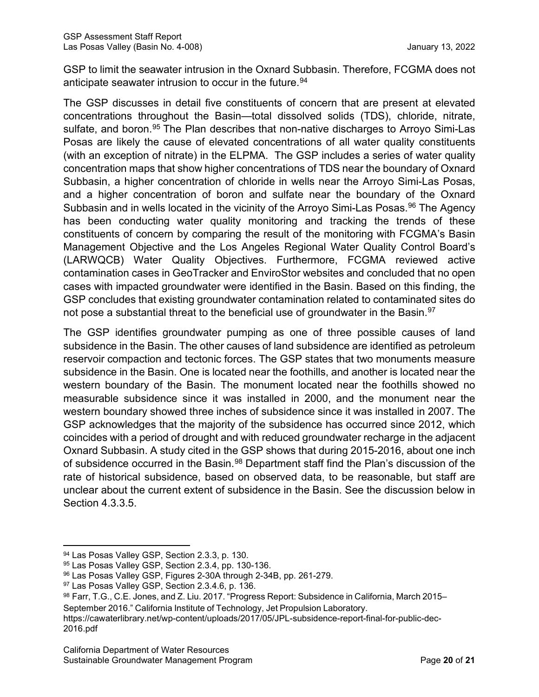GSP to limit the seawater intrusion in the Oxnard Subbasin. Therefore, FCGMA does not anticipate seawater intrusion to occur in the future.<sup>[94](#page-25-0)</sup>

The GSP discusses in detail five constituents of concern that are present at elevated concentrations throughout the Basin—total dissolved solids (TDS), chloride, nitrate, sulfate, and boron. [95](#page-25-1) The Plan describes that non-native discharges to Arroyo Simi-Las Posas are likely the cause of elevated concentrations of all water quality constituents (with an exception of nitrate) in the ELPMA. The GSP includes a series of water quality concentration maps that show higher concentrations of TDS near the boundary of Oxnard Subbasin, a higher concentration of chloride in wells near the Arroyo Simi-Las Posas, and a higher concentration of boron and sulfate near the boundary of the Oxnard Subbasin and in wells located in the vicinity of the Arroyo Simi-Las Posas. [96](#page-25-2) The Agency has been conducting water quality monitoring and tracking the trends of these constituents of concern by comparing the result of the monitoring with FCGMA's Basin Management Objective and the Los Angeles Regional Water Quality Control Board's (LARWQCB) Water Quality Objectives. Furthermore, FCGMA reviewed active contamination cases in GeoTracker and EnviroStor websites and concluded that no open cases with impacted groundwater were identified in the Basin. Based on this finding, the GSP concludes that existing groundwater contamination related to contaminated sites do not pose a substantial threat to the beneficial use of groundwater in the Basin. [97](#page-25-3)

The GSP identifies groundwater pumping as one of three possible causes of land subsidence in the Basin. The other causes of land subsidence are identified as petroleum reservoir compaction and tectonic forces. The GSP states that two monuments measure subsidence in the Basin. One is located near the foothills, and another is located near the western boundary of the Basin. The monument located near the foothills showed no measurable subsidence since it was installed in 2000, and the monument near the western boundary showed three inches of subsidence since it was installed in 2007. The GSP acknowledges that the majority of the subsidence has occurred since 2012, which coincides with a period of drought and with reduced groundwater recharge in the adjacent Oxnard Subbasin. A study cited in the GSP shows that during 2015-2016, about one inch of subsidence occurred in the Basin. [98](#page-25-4) Department staff find the Plan's discussion of the rate of historical subsidence, based on observed data, to be reasonable, but staff are unclear about the current extent of subsidence in the Basin. See the discussion below in Section 4.3.3.5.

<span id="page-25-0"></span><sup>94</sup> Las Posas Valley GSP, Section 2.3.3, p. 130.

<span id="page-25-1"></span><sup>95</sup> Las Posas Valley GSP, Section 2.3.4, pp. 130-136.

<span id="page-25-2"></span><sup>96</sup> Las Posas Valley GSP, Figures 2-30A through 2-34B, pp. 261-279.

<span id="page-25-3"></span><sup>97</sup> Las Posas Valley GSP, Section 2.3.4.6, p. 136.

<span id="page-25-4"></span><sup>98</sup> Farr, T.G., C.E. Jones, and Z. Liu. 2017. "Progress Report: Subsidence in California, March 2015– September 2016." California Institute of Technology, Jet Propulsion Laboratory.

https://cawaterlibrary.net/wp-content/uploads/2017/05/JPL-subsidence-report-final-for-public-dec-2016.pdf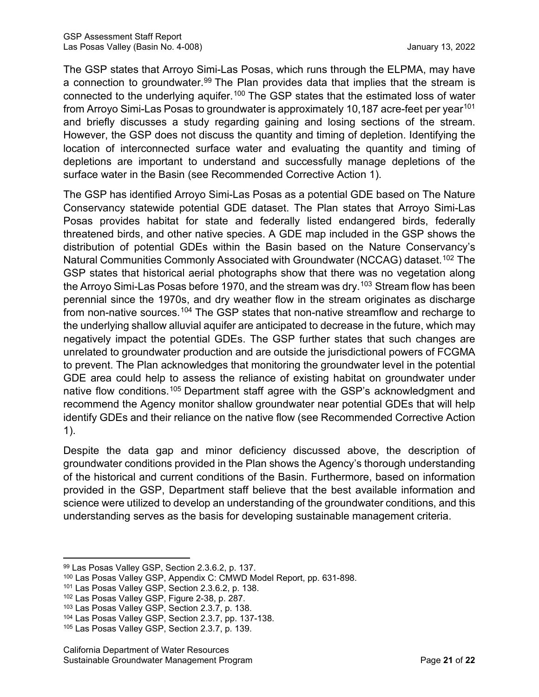The GSP states that Arroyo Simi-Las Posas, which runs through the ELPMA, may have a connection to groundwater.<sup>[99](#page-26-0)</sup> The Plan provides data that implies that the stream is connected to the underlying aquifer.<sup>[100](#page-26-1)</sup> The GSP states that the estimated loss of water from Arroyo Simi-Las Posas to groundwater is approximately 10,187 acre-feet per year<sup>[101](#page-26-2)</sup> and briefly discusses a study regarding gaining and losing sections of the stream. However, the GSP does not discuss the quantity and timing of depletion. Identifying the location of interconnected surface water and evaluating the quantity and timing of depletions are important to understand and successfully manage depletions of the surface water in the Basin (see Recommended Corrective Action 1).

The GSP has identified Arroyo Simi-Las Posas as a potential GDE based on The Nature Conservancy statewide potential GDE dataset. The Plan states that Arroyo Simi-Las Posas provides habitat for state and federally listed endangered birds, federally threatened birds, and other native species. A GDE map included in the GSP shows the distribution of potential GDEs within the Basin based on the Nature Conservancy's Natural Communities Commonly Associated with Groundwater (NCCAG) dataset.<sup>[102](#page-26-3)</sup> The GSP states that historical aerial photographs show that there was no vegetation along the Arroyo Simi-Las Posas before 1970, and the stream was dry.<sup>103</sup> Stream flow has been perennial since the 1970s, and dry weather flow in the stream originates as discharge from non-native sources.<sup>[104](#page-26-5)</sup> The GSP states that non-native streamflow and recharge to the underlying shallow alluvial aquifer are anticipated to decrease in the future, which may negatively impact the potential GDEs. The GSP further states that such changes are unrelated to groundwater production and are outside the jurisdictional powers of FCGMA to prevent. The Plan acknowledges that monitoring the groundwater level in the potential GDE area could help to assess the reliance of existing habitat on groundwater under native flow conditions.<sup>[105](#page-26-6)</sup> Department staff agree with the GSP's acknowledgment and recommend the Agency monitor shallow groundwater near potential GDEs that will help identify GDEs and their reliance on the native flow (see [Recommended Corrective Action](#page-47-0)  1).

Despite the data gap and minor deficiency discussed above, the description of groundwater conditions provided in the Plan shows the Agency's thorough understanding of the historical and current conditions of the Basin. Furthermore, based on information provided in the GSP, Department staff believe that the best available information and science were utilized to develop an understanding of the groundwater conditions, and this understanding serves as the basis for developing sustainable management criteria.

<span id="page-26-0"></span><sup>99</sup> Las Posas Valley GSP, Section 2.3.6.2, p. 137.

<span id="page-26-1"></span><sup>100</sup> Las Posas Valley GSP, Appendix C: CMWD Model Report, pp. 631-898.

<span id="page-26-2"></span><sup>101</sup> Las Posas Valley GSP, Section 2.3.6.2, p. 138.

<span id="page-26-3"></span><sup>102</sup> Las Posas Valley GSP, Figure 2-38, p. 287.

<span id="page-26-4"></span><sup>103</sup> Las Posas Valley GSP, Section 2.3.7, p. 138.

<span id="page-26-5"></span><sup>104</sup> Las Posas Valley GSP, Section 2.3.7, pp. 137-138.

<span id="page-26-6"></span><sup>105</sup> Las Posas Valley GSP, Section 2.3.7, p. 139.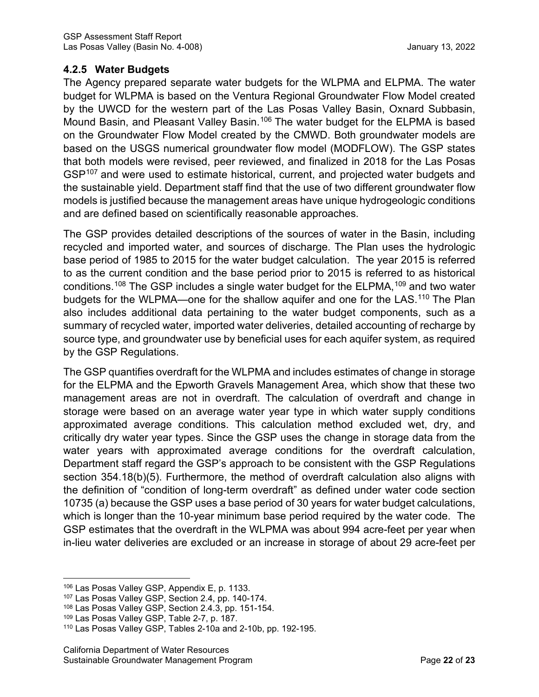# **4.2.5 Water Budgets**

The Agency prepared separate water budgets for the WLPMA and ELPMA. The water budget for WLPMA is based on the Ventura Regional Groundwater Flow Model created by the UWCD for the western part of the Las Posas Valley Basin, Oxnard Subbasin, Mound Basin, and Pleasant Valley Basin.<sup>[106](#page-27-0)</sup> The water budget for the ELPMA is based on the Groundwater Flow Model created by the CMWD. Both groundwater models are based on the USGS numerical groundwater flow model (MODFLOW). The GSP states that both models were revised, peer reviewed, and finalized in 2018 for the Las Posas GSP<sup>[107](#page-27-1)</sup> and were used to estimate historical, current, and projected water budgets and the sustainable yield. Department staff find that the use of two different groundwater flow models is justified because the management areas have unique hydrogeologic conditions and are defined based on scientifically reasonable approaches.

The GSP provides detailed descriptions of the sources of water in the Basin, including recycled and imported water, and sources of discharge. The Plan uses the hydrologic base period of 1985 to 2015 for the water budget calculation. The year 2015 is referred to as the current condition and the base period prior to 2015 is referred to as historical conditions.<sup>[108](#page-27-2)</sup> The GSP includes a single water budget for the ELPMA,<sup>[109](#page-27-3)</sup> and two water budgets for the WLPMA—one for the shallow aquifer and one for the LAS.<sup>[110](#page-27-4)</sup> The Plan also includes additional data pertaining to the water budget components, such as a summary of recycled water, imported water deliveries, detailed accounting of recharge by source type, and groundwater use by beneficial uses for each aquifer system, as required by the GSP Regulations.

The GSP quantifies overdraft for the WLPMA and includes estimates of change in storage for the ELPMA and the Epworth Gravels Management Area, which show that these two management areas are not in overdraft. The calculation of overdraft and change in storage were based on an average water year type in which water supply conditions approximated average conditions. This calculation method excluded wet, dry, and critically dry water year types. Since the GSP uses the change in storage data from the water years with approximated average conditions for the overdraft calculation, Department staff regard the GSP's approach to be consistent with the GSP Regulations section 354.18(b)(5). Furthermore, the method of overdraft calculation also aligns with the definition of "condition of long-term overdraft" as defined under water code section 10735 (a) because the GSP uses a base period of 30 years for water budget calculations, which is longer than the 10-year minimum base period required by the water code. The GSP estimates that the overdraft in the WLPMA was about 994 acre-feet per year when in-lieu water deliveries are excluded or an increase in storage of about 29 acre-feet per

<span id="page-27-0"></span><sup>106</sup> Las Posas Valley GSP, Appendix E, p. 1133.

<span id="page-27-1"></span><sup>107</sup> Las Posas Valley GSP, Section 2.4, pp. 140-174.

<span id="page-27-2"></span><sup>108</sup> Las Posas Valley GSP, Section 2.4.3, pp. 151-154.

<span id="page-27-3"></span><sup>109</sup> Las Posas Valley GSP, Table 2-7, p. 187.

<span id="page-27-4"></span><sup>110</sup> Las Posas Valley GSP, Tables 2-10a and 2-10b, pp. 192-195.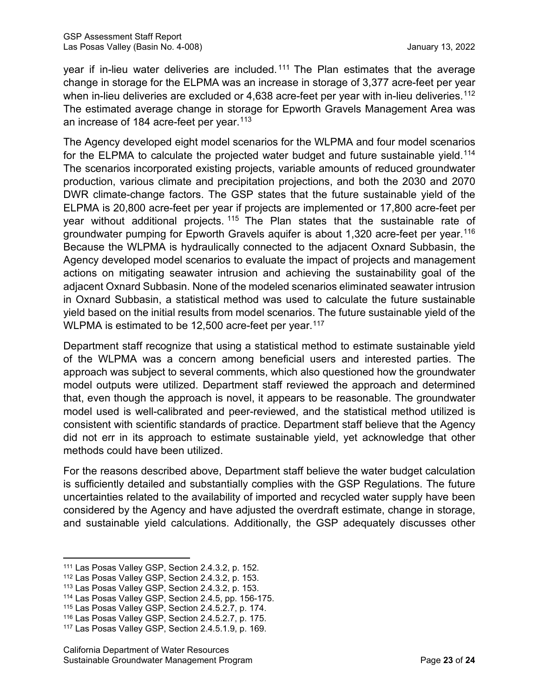year if in-lieu water deliveries are included. [111](#page-28-0) The Plan estimates that the average change in storage for the ELPMA was an increase in storage of 3,377 acre-feet per year when in-lieu deliveries are excluded or 4,638 acre-feet per year with in-lieu deliveries.<sup>[112](#page-28-1)</sup> The estimated average change in storage for Epworth Gravels Management Area was an increase of 184 acre-feet per year.<sup>[113](#page-28-2)</sup>

The Agency developed eight model scenarios for the WLPMA and four model scenarios for the ELPMA to calculate the projected water budget and future sustainable yield.<sup>[114](#page-28-3)</sup> The scenarios incorporated existing projects, variable amounts of reduced groundwater production, various climate and precipitation projections, and both the 2030 and 2070 DWR climate-change factors. The GSP states that the future sustainable yield of the ELPMA is 20,800 acre-feet per year if projects are implemented or 17,800 acre-feet per year without additional projects.<sup>[115](#page-28-4)</sup> The Plan states that the sustainable rate of groundwater pumping for Epworth Gravels aquifer is about 1,320 acre-feet per year. [116](#page-28-5) Because the WLPMA is hydraulically connected to the adjacent Oxnard Subbasin, the Agency developed model scenarios to evaluate the impact of projects and management actions on mitigating seawater intrusion and achieving the sustainability goal of the adjacent Oxnard Subbasin. None of the modeled scenarios eliminated seawater intrusion in Oxnard Subbasin, a statistical method was used to calculate the future sustainable yield based on the initial results from model scenarios. The future sustainable yield of the WLPMA is estimated to be 12,500 acre-feet per year. [117](#page-28-6)

Department staff recognize that using a statistical method to estimate sustainable yield of the WLPMA was a concern among beneficial users and interested parties. The approach was subject to several comments, which also questioned how the groundwater model outputs were utilized. Department staff reviewed the approach and determined that, even though the approach is novel, it appears to be reasonable. The groundwater model used is well-calibrated and peer-reviewed, and the statistical method utilized is consistent with scientific standards of practice. Department staff believe that the Agency did not err in its approach to estimate sustainable yield, yet acknowledge that other methods could have been utilized.

For the reasons described above, Department staff believe the water budget calculation is sufficiently detailed and substantially complies with the GSP Regulations. The future uncertainties related to the availability of imported and recycled water supply have been considered by the Agency and have adjusted the overdraft estimate, change in storage, and sustainable yield calculations. Additionally, the GSP adequately discusses other

<span id="page-28-0"></span><sup>111</sup> Las Posas Valley GSP, Section 2.4.3.2, p. 152.

<span id="page-28-1"></span><sup>112</sup> Las Posas Valley GSP, Section 2.4.3.2, p. 153.

<span id="page-28-2"></span><sup>113</sup> Las Posas Valley GSP, Section 2.4.3.2, p. 153.

<span id="page-28-3"></span><sup>114</sup> Las Posas Valley GSP, Section 2.4.5, pp. 156-175.

<span id="page-28-4"></span><sup>115</sup> Las Posas Valley GSP, Section 2.4.5.2.7, p. 174.

<span id="page-28-5"></span><sup>116</sup> Las Posas Valley GSP, Section 2.4.5.2.7, p. 175.

<span id="page-28-6"></span><sup>117</sup> Las Posas Valley GSP, Section 2.4.5.1.9, p. 169.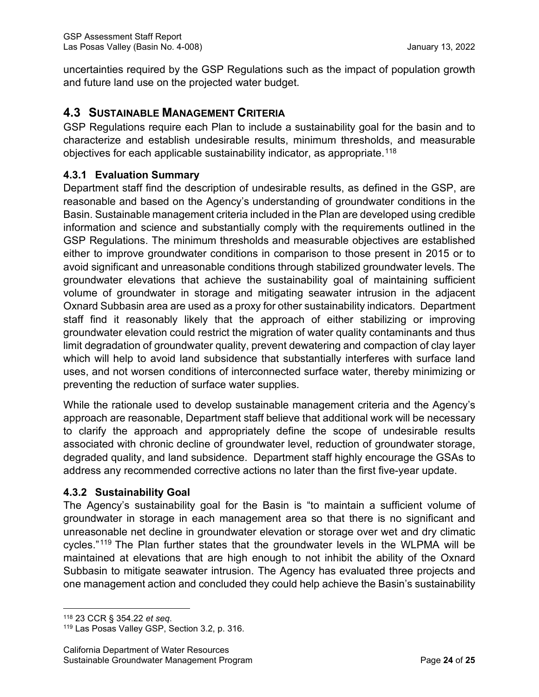uncertainties required by the GSP Regulations such as the impact of population growth and future land use on the projected water budget.

# **4.3 SUSTAINABLE MANAGEMENT CRITERIA**

GSP Regulations require each Plan to include a sustainability goal for the basin and to characterize and establish undesirable results, minimum thresholds, and measurable objectives for each applicable sustainability indicator, as appropriate.<sup>[118](#page-29-0)</sup>

### **4.3.1 Evaluation Summary**

Department staff find the description of undesirable results, as defined in the GSP, are reasonable and based on the Agency's understanding of groundwater conditions in the Basin. Sustainable management criteria included in the Plan are developed using credible information and science and substantially comply with the requirements outlined in the GSP Regulations. The minimum thresholds and measurable objectives are established either to improve groundwater conditions in comparison to those present in 2015 or to avoid significant and unreasonable conditions through stabilized groundwater levels. The groundwater elevations that achieve the sustainability goal of maintaining sufficient volume of groundwater in storage and mitigating seawater intrusion in the adjacent Oxnard Subbasin area are used as a proxy for other sustainability indicators. Department staff find it reasonably likely that the approach of either stabilizing or improving groundwater elevation could restrict the migration of water quality contaminants and thus limit degradation of groundwater quality, prevent dewatering and compaction of clay layer which will help to avoid land subsidence that substantially interferes with surface land uses, and not worsen conditions of interconnected surface water, thereby minimizing or preventing the reduction of surface water supplies.

While the rationale used to develop sustainable management criteria and the Agency's approach are reasonable, Department staff believe that additional work will be necessary to clarify the approach and appropriately define the scope of undesirable results associated with chronic decline of groundwater level, reduction of groundwater storage, degraded quality, and land subsidence. Department staff highly encourage the GSAs to address any recommended corrective actions no later than the first five-year update.

# **4.3.2 Sustainability Goal**

The Agency's sustainability goal for the Basin is "to maintain a sufficient volume of groundwater in storage in each management area so that there is no significant and unreasonable net decline in groundwater elevation or storage over wet and dry climatic cycles."[119](#page-29-1) The Plan further states that the groundwater levels in the WLPMA will be maintained at elevations that are high enough to not inhibit the ability of the Oxnard Subbasin to mitigate seawater intrusion. The Agency has evaluated three projects and one management action and concluded they could help achieve the Basin's sustainability

<span id="page-29-0"></span><sup>118</sup> 23 CCR § 354.22 *et seq*.

<span id="page-29-1"></span><sup>119</sup> Las Posas Valley GSP, Section 3.2, p. 316.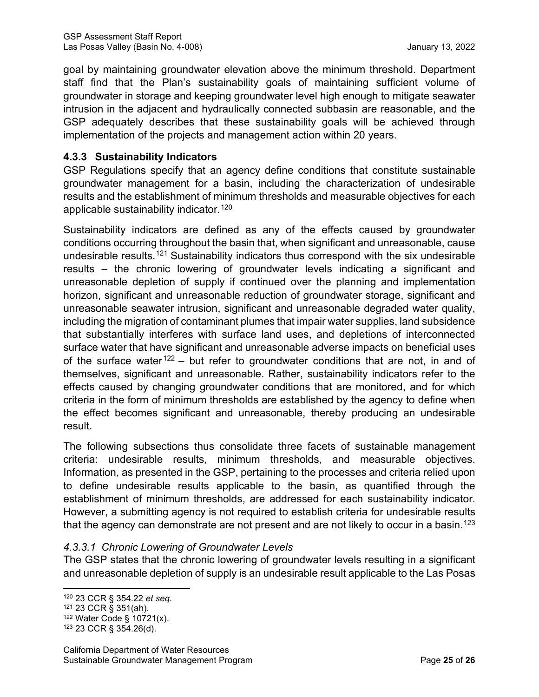goal by maintaining groundwater elevation above the minimum threshold. Department staff find that the Plan's sustainability goals of maintaining sufficient volume of groundwater in storage and keeping groundwater level high enough to mitigate seawater intrusion in the adjacent and hydraulically connected subbasin are reasonable, and the GSP adequately describes that these sustainability goals will be achieved through implementation of the projects and management action within 20 years.

### **4.3.3 Sustainability Indicators**

GSP Regulations specify that an agency define conditions that constitute sustainable groundwater management for a basin, including the characterization of undesirable results and the establishment of minimum thresholds and measurable objectives for each applicable sustainability indicator.<sup>[120](#page-30-0)</sup>

Sustainability indicators are defined as any of the effects caused by groundwater conditions occurring throughout the basin that, when significant and unreasonable, cause undesirable results.[121](#page-30-1) Sustainability indicators thus correspond with the six undesirable results – the chronic lowering of groundwater levels indicating a significant and unreasonable depletion of supply if continued over the planning and implementation horizon, significant and unreasonable reduction of groundwater storage, significant and unreasonable seawater intrusion, significant and unreasonable degraded water quality, including the migration of contaminant plumes that impair water supplies, land subsidence that substantially interferes with surface land uses, and depletions of interconnected surface water that have significant and unreasonable adverse impacts on beneficial uses of the surface water<sup>[122](#page-30-2)</sup> – but refer to groundwater conditions that are not, in and of themselves, significant and unreasonable. Rather, sustainability indicators refer to the effects caused by changing groundwater conditions that are monitored, and for which criteria in the form of minimum thresholds are established by the agency to define when the effect becomes significant and unreasonable, thereby producing an undesirable result.

The following subsections thus consolidate three facets of sustainable management criteria: undesirable results, minimum thresholds, and measurable objectives. Information, as presented in the GSP, pertaining to the processes and criteria relied upon to define undesirable results applicable to the basin, as quantified through the establishment of minimum thresholds, are addressed for each sustainability indicator. However, a submitting agency is not required to establish criteria for undesirable results that the agency can demonstrate are not present and are not likely to occur in a basin.<sup>[123](#page-30-3)</sup>

#### *4.3.3.1 Chronic Lowering of Groundwater Levels*

The GSP states that the chronic lowering of groundwater levels resulting in a significant and unreasonable depletion of supply is an undesirable result applicable to the Las Posas

<span id="page-30-0"></span><sup>120</sup> 23 CCR § 354.22 *et seq*.

<span id="page-30-1"></span><sup>121</sup> 23 CCR § 351(ah).

<span id="page-30-2"></span><sup>122</sup> Water Code § 10721(x).

<span id="page-30-3"></span><sup>123</sup> 23 CCR § 354.26(d).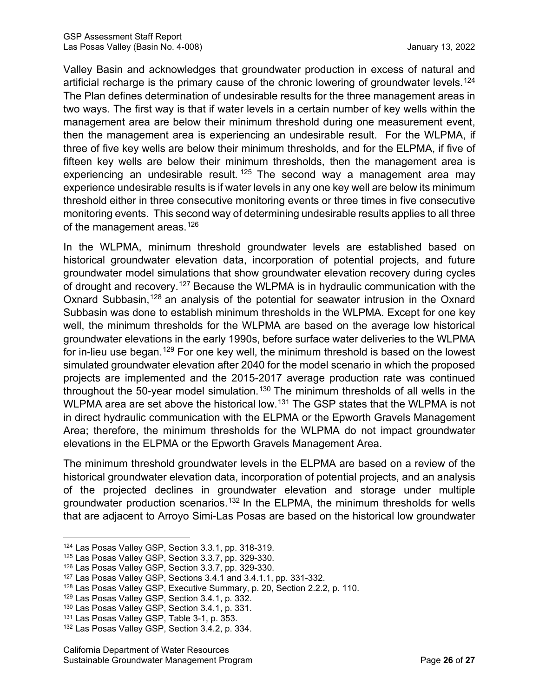Valley Basin and acknowledges that groundwater production in excess of natural and artificial recharge is the primary cause of the chronic lowering of groundwater levels.<sup>[124](#page-31-0)</sup> The Plan defines determination of undesirable results for the three management areas in two ways. The first way is that if water levels in a certain number of key wells within the management area are below their minimum threshold during one measurement event, then the management area is experiencing an undesirable result. For the WLPMA, if three of five key wells are below their minimum thresholds, and for the ELPMA, if five of fifteen key wells are below their minimum thresholds, then the management area is experiencing an undesirable result.<sup>[125](#page-31-1)</sup> The second way a management area may experience undesirable results is if water levels in any one key well are below its minimum threshold either in three consecutive monitoring events or three times in five consecutive monitoring events. This second way of determining undesirable results applies to all three of the management areas.<sup>[126](#page-31-2)</sup>

In the WLPMA, minimum threshold groundwater levels are established based on historical groundwater elevation data, incorporation of potential projects, and future groundwater model simulations that show groundwater elevation recovery during cycles of drought and recovery.[127](#page-31-3) Because the WLPMA is in hydraulic communication with the Oxnard Subbasin,<sup>[128](#page-31-4)</sup> an analysis of the potential for seawater intrusion in the Oxnard Subbasin was done to establish minimum thresholds in the WLPMA. Except for one key well, the minimum thresholds for the WLPMA are based on the average low historical groundwater elevations in the early 1990s, before surface water deliveries to the WLPMA for in-lieu use began.<sup>[129](#page-31-5)</sup> For one key well, the minimum threshold is based on the lowest simulated groundwater elevation after 2040 for the model scenario in which the proposed projects are implemented and the 2015-2017 average production rate was continued throughout the 50-year model simulation.<sup>[130](#page-31-6)</sup> The minimum thresholds of all wells in the WLPMA area are set above the historical low.<sup>[131](#page-31-7)</sup> The GSP states that the WLPMA is not in direct hydraulic communication with the ELPMA or the Epworth Gravels Management Area; therefore, the minimum thresholds for the WLPMA do not impact groundwater elevations in the ELPMA or the Epworth Gravels Management Area.

The minimum threshold groundwater levels in the ELPMA are based on a review of the historical groundwater elevation data, incorporation of potential projects, and an analysis of the projected declines in groundwater elevation and storage under multiple groundwater production scenarios. [132](#page-31-8) In the ELPMA, the minimum thresholds for wells that are adjacent to Arroyo Simi-Las Posas are based on the historical low groundwater

<span id="page-31-0"></span><sup>124</sup> Las Posas Valley GSP, Section 3.3.1, pp. 318-319.

<span id="page-31-1"></span><sup>125</sup> Las Posas Valley GSP, Section 3.3.7, pp. 329-330.

<span id="page-31-2"></span><sup>126</sup> Las Posas Valley GSP, Section 3.3.7, pp. 329-330.

<span id="page-31-3"></span><sup>127</sup> Las Posas Valley GSP, Sections 3.4.1 and 3.4.1.1, pp. 331-332.

<span id="page-31-4"></span><sup>128</sup> Las Posas Valley GSP, Executive Summary, p. 20, Section 2.2.2, p. 110.

<span id="page-31-5"></span><sup>129</sup> Las Posas Valley GSP, Section 3.4.1, p. 332.

<span id="page-31-6"></span><sup>130</sup> Las Posas Valley GSP, Section 3.4.1, p. 331.

<span id="page-31-7"></span><sup>131</sup> Las Posas Valley GSP, Table 3-1, p. 353.

<span id="page-31-8"></span><sup>132</sup> Las Posas Valley GSP, Section 3.4.2, p. 334.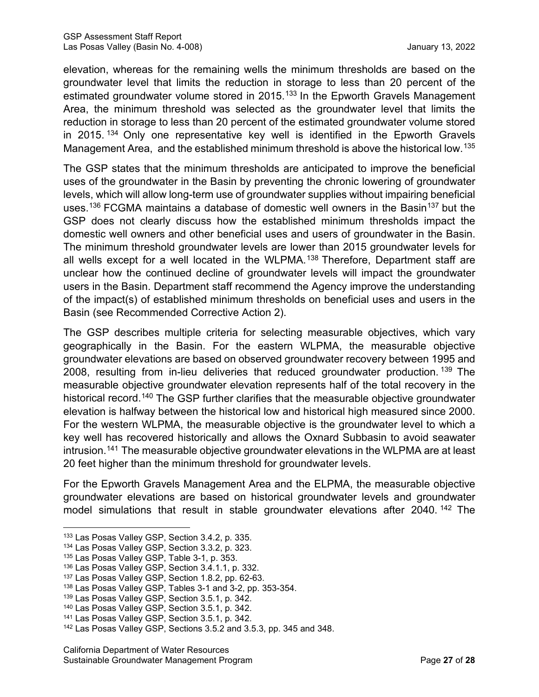elevation, whereas for the remaining wells the minimum thresholds are based on the groundwater level that limits the reduction in storage to less than 20 percent of the estimated groundwater volume stored in 2015. [133](#page-32-0) In the Epworth Gravels Management Area, the minimum threshold was selected as the groundwater level that limits the reduction in storage to less than 20 percent of the estimated groundwater volume stored in 2015. [134](#page-32-1) Only one representative key well is identified in the Epworth Gravels Management Area, and the established minimum threshold is above the historical low.<sup>[135](#page-32-2)</sup>

The GSP states that the minimum thresholds are anticipated to improve the beneficial uses of the groundwater in the Basin by preventing the chronic lowering of groundwater levels, which will allow long-term use of groundwater supplies without impairing beneficial uses.<sup>[136](#page-32-3)</sup> FCGMA maintains a database of domestic well owners in the Basin<sup>[137](#page-32-4)</sup> but the GSP does not clearly discuss how the established minimum thresholds impact the domestic well owners and other beneficial uses and users of groundwater in the Basin. The minimum threshold groundwater levels are lower than 2015 groundwater levels for all wells except for a well located in the WLPMA.<sup>[138](#page-32-5)</sup> Therefore, Department staff are unclear how the continued decline of groundwater levels will impact the groundwater users in the Basin. Department staff recommend the Agency improve the understanding of the impact(s) of established minimum thresholds on beneficial uses and users in the Basin (see Recommended Corrective Action 2).

The GSP describes multiple criteria for selecting measurable objectives, which vary geographically in the Basin. For the eastern WLPMA, the measurable objective groundwater elevations are based on observed groundwater recovery between 1995 and 2008, resulting from in-lieu deliveries that reduced groundwater production. [139](#page-32-6) The measurable objective groundwater elevation represents half of the total recovery in the historical record. [140](#page-32-7) The GSP further clarifies that the measurable objective groundwater elevation is halfway between the historical low and historical high measured since 2000. For the western WLPMA, the measurable objective is the groundwater level to which a key well has recovered historically and allows the Oxnard Subbasin to avoid seawater intrusion. [141](#page-32-8) The measurable objective groundwater elevations in the WLPMA are at least 20 feet higher than the minimum threshold for groundwater levels.

For the Epworth Gravels Management Area and the ELPMA, the measurable objective groundwater elevations are based on historical groundwater levels and groundwater model simulations that result in stable groundwater elevations after 2040.<sup>[142](#page-32-9)</sup> The

<span id="page-32-0"></span><sup>133</sup> Las Posas Valley GSP, Section 3.4.2, p. 335.

<span id="page-32-1"></span><sup>134</sup> Las Posas Valley GSP, Section 3.3.2, p. 323.

<span id="page-32-2"></span><sup>&</sup>lt;sup>135</sup> Las Posas Valley GSP, Table 3-1, p. 353.

<sup>136</sup> Las Posas Valley GSP, Section 3.4.1.1, p. 332.

<span id="page-32-4"></span><span id="page-32-3"></span><sup>137</sup> Las Posas Valley GSP, Section 1.8.2, pp. 62-63.

<span id="page-32-5"></span><sup>138</sup> Las Posas Valley GSP, Tables 3-1 and 3-2, pp. 353-354.

<span id="page-32-6"></span><sup>139</sup> Las Posas Valley GSP, Section 3.5.1, p. 342.

<span id="page-32-7"></span><sup>140</sup> Las Posas Valley GSP, Section 3.5.1, p. 342.

<span id="page-32-8"></span><sup>141</sup> Las Posas Valley GSP, Section 3.5.1, p. 342.

<span id="page-32-9"></span><sup>142</sup> Las Posas Valley GSP, Sections 3.5.2 and 3.5.3, pp. 345 and 348.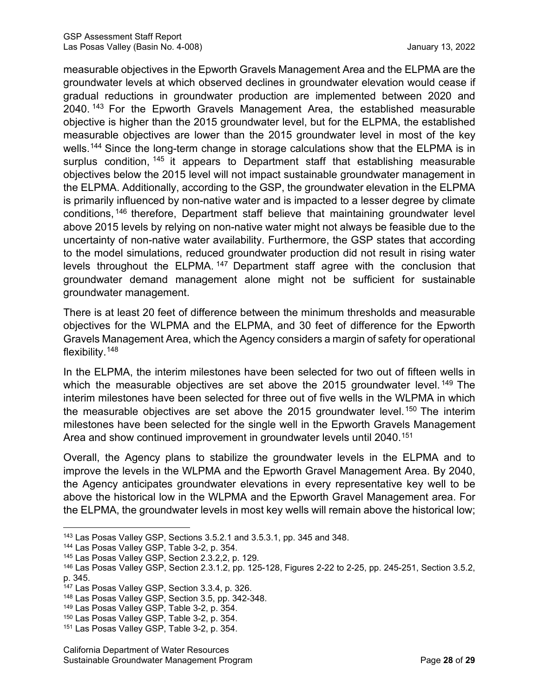measurable objectives in the Epworth Gravels Management Area and the ELPMA are the groundwater levels at which observed declines in groundwater elevation would cease if gradual reductions in groundwater production are implemented between 2020 and 2040. [143](#page-33-0) For the Epworth Gravels Management Area, the established measurable objective is higher than the 2015 groundwater level, but for the ELPMA, the established measurable objectives are lower than the 2015 groundwater level in most of the key wells. [144](#page-33-1) Since the long-term change in storage calculations show that the ELPMA is in surplus condition, <sup>[145](#page-33-2)</sup> it appears to Department staff that establishing measurable objectives below the 2015 level will not impact sustainable groundwater management in the ELPMA. Additionally, according to the GSP, the groundwater elevation in the ELPMA is primarily influenced by non-native water and is impacted to a lesser degree by climate conditions, [146](#page-33-3) therefore, Department staff believe that maintaining groundwater level above 2015 levels by relying on non-native water might not always be feasible due to the uncertainty of non-native water availability. Furthermore, the GSP states that according to the model simulations, reduced groundwater production did not result in rising water levels throughout the ELPMA.<sup>[147](#page-33-4)</sup> Department staff agree with the conclusion that groundwater demand management alone might not be sufficient for sustainable groundwater management.

There is at least 20 feet of difference between the minimum thresholds and measurable objectives for the WLPMA and the ELPMA, and 30 feet of difference for the Epworth Gravels Management Area, which the Agency considers a margin of safety for operational flexibility.[148](#page-33-5)

In the ELPMA, the interim milestones have been selected for two out of fifteen wells in which the measurable objectives are set above the 2015 groundwater level.<sup>[149](#page-33-6)</sup> The interim milestones have been selected for three out of five wells in the WLPMA in which the measurable objectives are set above the 2015 groundwater level.<sup>[150](#page-33-7)</sup> The interim milestones have been selected for the single well in the Epworth Gravels Management Area and show continued improvement in groundwater levels until 2040. [151](#page-33-8)

Overall, the Agency plans to stabilize the groundwater levels in the ELPMA and to improve the levels in the WLPMA and the Epworth Gravel Management Area. By 2040, the Agency anticipates groundwater elevations in every representative key well to be above the historical low in the WLPMA and the Epworth Gravel Management area. For the ELPMA, the groundwater levels in most key wells will remain above the historical low;

<span id="page-33-0"></span><sup>143</sup> Las Posas Valley GSP, Sections 3.5.2.1 and 3.5.3.1, pp. 345 and 348.

<span id="page-33-1"></span><sup>144</sup> Las Posas Valley GSP, Table 3-2, p. 354.

<span id="page-33-2"></span><sup>145</sup> Las Posas Valley GSP, Section 2.3.2,2, p. 129.

<span id="page-33-3"></span><sup>146</sup> Las Posas Valley GSP, Section 2.3.1.2, pp. 125-128, Figures 2-22 to 2-25, pp. 245-251, Section 3.5.2, p. 345.

<span id="page-33-4"></span><sup>147</sup> Las Posas Valley GSP, Section 3.3.4, p. 326.

<span id="page-33-5"></span><sup>148</sup> Las Posas Valley GSP, Section 3.5, pp. 342-348.

<span id="page-33-6"></span><sup>149</sup> Las Posas Valley GSP, Table 3-2, p. 354.

<span id="page-33-7"></span><sup>150</sup> Las Posas Valley GSP, Table 3-2, p. 354.

<span id="page-33-8"></span><sup>151</sup> Las Posas Valley GSP, Table 3-2, p. 354.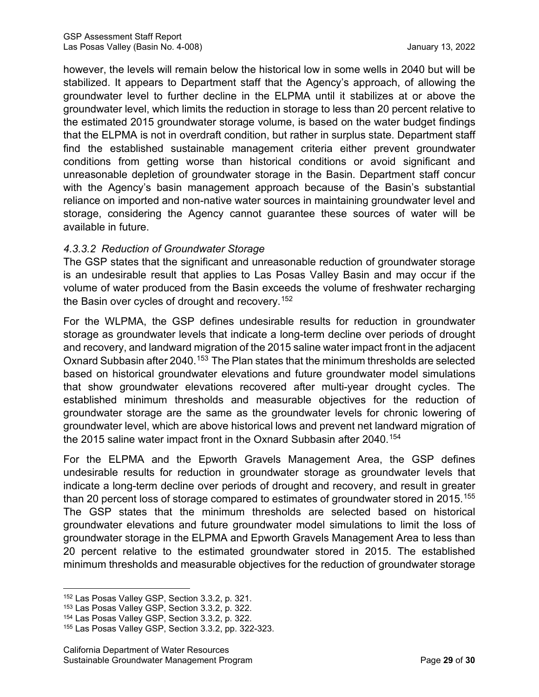however, the levels will remain below the historical low in some wells in 2040 but will be stabilized. It appears to Department staff that the Agency's approach, of allowing the groundwater level to further decline in the ELPMA until it stabilizes at or above the groundwater level, which limits the reduction in storage to less than 20 percent relative to the estimated 2015 groundwater storage volume, is based on the water budget findings that the ELPMA is not in overdraft condition, but rather in surplus state. Department staff find the established sustainable management criteria either prevent groundwater conditions from getting worse than historical conditions or avoid significant and unreasonable depletion of groundwater storage in the Basin. Department staff concur with the Agency's basin management approach because of the Basin's substantial reliance on imported and non-native water sources in maintaining groundwater level and storage, considering the Agency cannot guarantee these sources of water will be available in future.

### *4.3.3.2 Reduction of Groundwater Storage*

The GSP states that the significant and unreasonable reduction of groundwater storage is an undesirable result that applies to Las Posas Valley Basin and may occur if the volume of water produced from the Basin exceeds the volume of freshwater recharging the Basin over cycles of drought and recovery. [152](#page-34-0)

For the WLPMA, the GSP defines undesirable results for reduction in groundwater storage as groundwater levels that indicate a long-term decline over periods of drought and recovery, and landward migration of the 2015 saline water impact front in the adjacent Oxnard Subbasin after 2040.<sup>[153](#page-34-1)</sup> The Plan states that the minimum thresholds are selected based on historical groundwater elevations and future groundwater model simulations that show groundwater elevations recovered after multi-year drought cycles. The established minimum thresholds and measurable objectives for the reduction of groundwater storage are the same as the groundwater levels for chronic lowering of groundwater level, which are above historical lows and prevent net landward migration of the 2015 saline water impact front in the Oxnard Subbasin after 2040. [154](#page-34-2)

For the ELPMA and the Epworth Gravels Management Area, the GSP defines undesirable results for reduction in groundwater storage as groundwater levels that indicate a long-term decline over periods of drought and recovery, and result in greater than 20 percent loss of storage compared to estimates of groundwater stored in 2015. $^{\rm 155}$  $^{\rm 155}$  $^{\rm 155}$ The GSP states that the minimum thresholds are selected based on historical groundwater elevations and future groundwater model simulations to limit the loss of groundwater storage in the ELPMA and Epworth Gravels Management Area to less than 20 percent relative to the estimated groundwater stored in 2015. The established minimum thresholds and measurable objectives for the reduction of groundwater storage

<span id="page-34-0"></span><sup>152</sup> Las Posas Valley GSP, Section 3.3.2, p. 321.

<span id="page-34-1"></span><sup>153</sup> Las Posas Valley GSP, Section 3.3.2, p. 322.

<span id="page-34-2"></span><sup>154</sup> Las Posas Valley GSP, Section 3.3.2, p. 322.

<span id="page-34-3"></span><sup>155</sup> Las Posas Valley GSP, Section 3.3.2, pp. 322-323.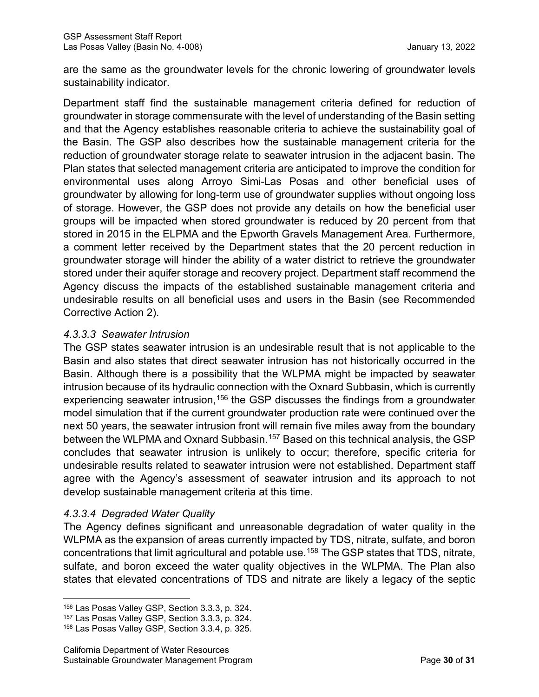are the same as the groundwater levels for the chronic lowering of groundwater levels sustainability indicator.

Department staff find the sustainable management criteria defined for reduction of groundwater in storage commensurate with the level of understanding of the Basin setting and that the Agency establishes reasonable criteria to achieve the sustainability goal of the Basin. The GSP also describes how the sustainable management criteria for the reduction of groundwater storage relate to seawater intrusion in the adjacent basin. The Plan states that selected management criteria are anticipated to improve the condition for environmental uses along Arroyo Simi-Las Posas and other beneficial uses of groundwater by allowing for long-term use of groundwater supplies without ongoing loss of storage. However, the GSP does not provide any details on how the beneficial user groups will be impacted when stored groundwater is reduced by 20 percent from that stored in 2015 in the ELPMA and the Epworth Gravels Management Area. Furthermore, a comment letter received by the Department states that the 20 percent reduction in groundwater storage will hinder the ability of a water district to retrieve the groundwater stored under their aquifer storage and recovery project. Department staff recommend the Agency discuss the impacts of the established sustainable management criteria and undesirable results on all beneficial uses and users in the Basin (see Recommended Corrective Action 2).

#### *4.3.3.3 Seawater Intrusion*

The GSP states seawater intrusion is an undesirable result that is not applicable to the Basin and also states that direct seawater intrusion has not historically occurred in the Basin. Although there is a possibility that the WLPMA might be impacted by seawater intrusion because of its hydraulic connection with the Oxnard Subbasin, which is currently experiencing seawater intrusion,<sup>[156](#page-35-0)</sup> the GSP discusses the findings from a groundwater model simulation that if the current groundwater production rate were continued over the next 50 years, the seawater intrusion front will remain five miles away from the boundary between the WLPMA and Oxnard Subbasin.[157](#page-35-1) Based on this technical analysis, the GSP concludes that seawater intrusion is unlikely to occur; therefore, specific criteria for undesirable results related to seawater intrusion were not established. Department staff agree with the Agency's assessment of seawater intrusion and its approach to not develop sustainable management criteria at this time.

# *4.3.3.4 Degraded Water Quality*

The Agency defines significant and unreasonable degradation of water quality in the WLPMA as the expansion of areas currently impacted by TDS, nitrate, sulfate, and boron concentrations that limit agricultural and potable use.[158](#page-35-2) The GSP states that TDS, nitrate, sulfate, and boron exceed the water quality objectives in the WLPMA. The Plan also states that elevated concentrations of TDS and nitrate are likely a legacy of the septic

<span id="page-35-0"></span><sup>156</sup> Las Posas Valley GSP, Section 3.3.3, p. 324.

<span id="page-35-1"></span><sup>157</sup> Las Posas Valley GSP, Section 3.3.3, p. 324.

<span id="page-35-2"></span><sup>158</sup> Las Posas Valley GSP, Section 3.3.4, p. 325.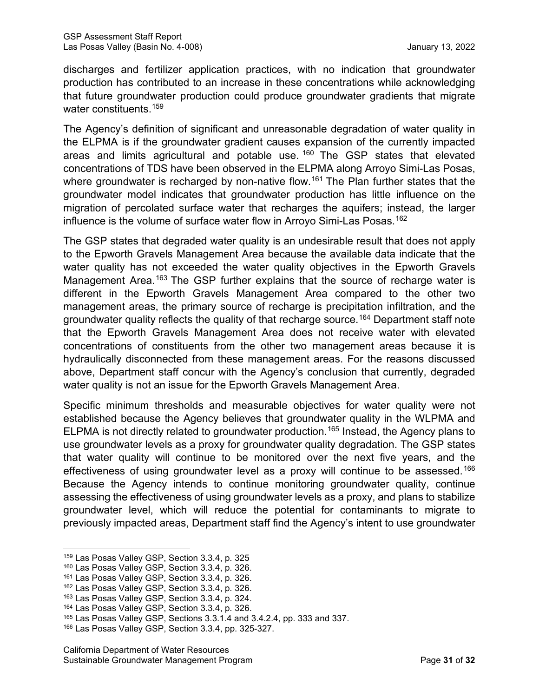discharges and fertilizer application practices, with no indication that groundwater production has contributed to an increase in these concentrations while acknowledging that future groundwater production could produce groundwater gradients that migrate water constituents. [159](#page-36-0)

The Agency's definition of significant and unreasonable degradation of water quality in the ELPMA is if the groundwater gradient causes expansion of the currently impacted areas and limits agricultural and potable use.  $160$  The GSP states that elevated concentrations of TDS have been observed in the ELPMA along Arroyo Simi-Las Posas, where groundwater is recharged by non-native flow.<sup>[161](#page-36-2)</sup> The Plan further states that the groundwater model indicates that groundwater production has little influence on the migration of percolated surface water that recharges the aquifers; instead, the larger influence is the volume of surface water flow in Arroyo Simi-Las Posas. [162](#page-36-3)

The GSP states that degraded water quality is an undesirable result that does not apply to the Epworth Gravels Management Area because the available data indicate that the water quality has not exceeded the water quality objectives in the Epworth Gravels Management Area.<sup>[163](#page-36-4)</sup> The GSP further explains that the source of recharge water is different in the Epworth Gravels Management Area compared to the other two management areas, the primary source of recharge is precipitation infiltration, and the groundwater quality reflects the quality of that recharge source.<sup>[164](#page-36-5)</sup> Department staff note that the Epworth Gravels Management Area does not receive water with elevated concentrations of constituents from the other two management areas because it is hydraulically disconnected from these management areas. For the reasons discussed above, Department staff concur with the Agency's conclusion that currently, degraded water quality is not an issue for the Epworth Gravels Management Area.

Specific minimum thresholds and measurable objectives for water quality were not established because the Agency believes that groundwater quality in the WLPMA and ELPMA is not directly related to groundwater production.[165](#page-36-6) Instead, the Agency plans to use groundwater levels as a proxy for groundwater quality degradation. The GSP states that water quality will continue to be monitored over the next five years, and the effectiveness of using groundwater level as a proxy will continue to be assessed.<sup>[166](#page-36-7)</sup> Because the Agency intends to continue monitoring groundwater quality, continue assessing the effectiveness of using groundwater levels as a proxy, and plans to stabilize groundwater level, which will reduce the potential for contaminants to migrate to previously impacted areas, Department staff find the Agency's intent to use groundwater

<span id="page-36-0"></span><sup>159</sup> Las Posas Valley GSP, Section 3.3.4, p. 325

<span id="page-36-1"></span><sup>160</sup> Las Posas Valley GSP, Section 3.3.4, p. 326.

<span id="page-36-2"></span><sup>161</sup> Las Posas Valley GSP, Section 3.3.4, p. 326.

<span id="page-36-3"></span><sup>162</sup> Las Posas Valley GSP, Section 3.3.4, p. 326.

<span id="page-36-4"></span><sup>163</sup> Las Posas Valley GSP, Section 3.3.4, p. 324.

<span id="page-36-5"></span><sup>164</sup> Las Posas Valley GSP, Section 3.3.4, p. 326.

<span id="page-36-6"></span><sup>165</sup> Las Posas Valley GSP, Sections 3.3.1.4 and 3.4.2.4, pp. 333 and 337.

<span id="page-36-7"></span><sup>166</sup> Las Posas Valley GSP, Section 3.3.4, pp. 325-327.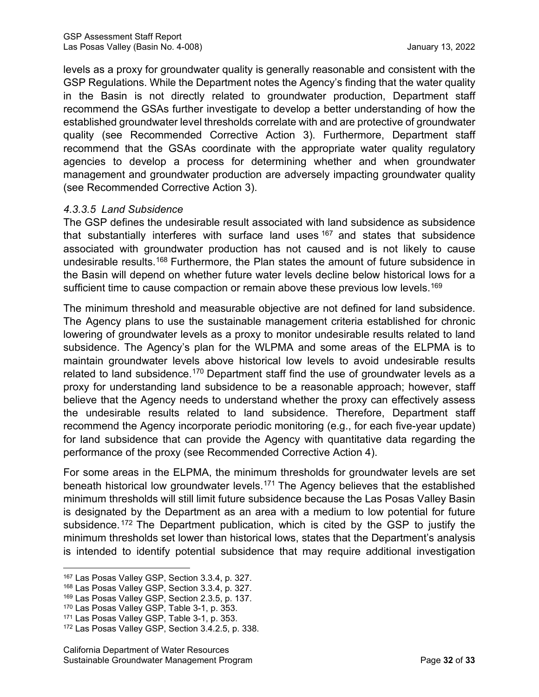levels as a proxy for groundwater quality is generally reasonable and consistent with the GSP Regulations. While the Department notes the Agency's finding that the water quality in the Basin is not directly related to groundwater production, Department staff recommend the GSAs further investigate to develop a better understanding of how the established groundwater level thresholds correlate with and are protective of groundwater quality (see Recommended Corrective Action 3). Furthermore, Department staff recommend that the GSAs coordinate with the appropriate water quality regulatory agencies to develop a process for determining whether and when groundwater management and groundwater production are adversely impacting groundwater quality (see Recommended Corrective Action 3).

### *4.3.3.5 Land Subsidence*

The GSP defines the undesirable result associated with land subsidence as subsidence that substantially interferes with surface land uses  $167$  and states that subsidence associated with groundwater production has not caused and is not likely to cause undesirable results.<sup>[168](#page-37-1)</sup> Furthermore, the Plan states the amount of future subsidence in the Basin will depend on whether future water levels decline below historical lows for a sufficient time to cause compaction or remain above these previous low levels. [169](#page-37-2)

The minimum threshold and measurable objective are not defined for land subsidence. The Agency plans to use the sustainable management criteria established for chronic lowering of groundwater levels as a proxy to monitor undesirable results related to land subsidence. The Agency's plan for the WLPMA and some areas of the ELPMA is to maintain groundwater levels above historical low levels to avoid undesirable results related to land subsidence.<sup>[170](#page-37-3)</sup> Department staff find the use of groundwater levels as a proxy for understanding land subsidence to be a reasonable approach; however, staff believe that the Agency needs to understand whether the proxy can effectively assess the undesirable results related to land subsidence. Therefore, Department staff recommend the Agency incorporate periodic monitoring (e.g., for each five-year update) for land subsidence that can provide the Agency with quantitative data regarding the performance of the proxy (see Recommended Corrective Action 4).

For some areas in the ELPMA, the minimum thresholds for groundwater levels are set beneath historical low groundwater levels. [171](#page-37-4) The Agency believes that the established minimum thresholds will still limit future subsidence because the Las Posas Valley Basin is designated by the Department as an area with a medium to low potential for future subsidence. <sup>[172](#page-37-5)</sup> The Department publication, which is cited by the GSP to justify the minimum thresholds set lower than historical lows, states that the Department's analysis is intended to identify potential subsidence that may require additional investigation

<span id="page-37-1"></span><sup>168</sup> Las Posas Valley GSP, Section 3.3.4, p. 327.

<span id="page-37-3"></span><sup>170</sup> Las Posas Valley GSP, Table 3-1, p. 353.

<span id="page-37-0"></span><sup>167</sup> Las Posas Valley GSP, Section 3.3.4, p. 327.

<span id="page-37-2"></span><sup>169</sup> Las Posas Valley GSP, Section 2.3.5, p. 137.

<span id="page-37-4"></span><sup>171</sup> Las Posas Valley GSP, Table 3-1, p. 353.

<span id="page-37-5"></span><sup>172</sup> Las Posas Valley GSP, Section 3.4.2.5, p. 338.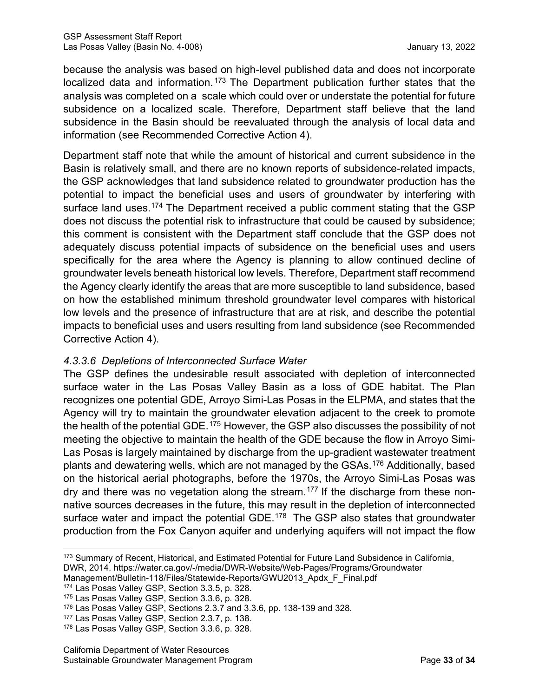because the analysis was based on high-level published data and does not incorporate localized data and information.<sup>[173](#page-38-0)</sup> The Department publication further states that the analysis was completed on a scale which could over or understate the potential for future subsidence on a localized scale. Therefore, Department staff believe that the land subsidence in the Basin should be reevaluated through the analysis of local data and information (see Recommended Corrective Action 4).

Department staff note that while the amount of historical and current subsidence in the Basin is relatively small, and there are no known reports of subsidence-related impacts, the GSP acknowledges that land subsidence related to groundwater production has the potential to impact the beneficial uses and users of groundwater by interfering with surface land uses.<sup>[174](#page-38-1)</sup> The Department received a public comment stating that the GSP does not discuss the potential risk to infrastructure that could be caused by subsidence; this comment is consistent with the Department staff conclude that the GSP does not adequately discuss potential impacts of subsidence on the beneficial uses and users specifically for the area where the Agency is planning to allow continued decline of groundwater levels beneath historical low levels. Therefore, Department staff recommend the Agency clearly identify the areas that are more susceptible to land subsidence, based on how the established minimum threshold groundwater level compares with historical low levels and the presence of infrastructure that are at risk, and describe the potential impacts to beneficial uses and users resulting from land subsidence (see Recommended Corrective Action 4).

# *4.3.3.6 Depletions of Interconnected Surface Water*

The GSP defines the undesirable result associated with depletion of interconnected surface water in the Las Posas Valley Basin as a loss of GDE habitat. The Plan recognizes one potential GDE, Arroyo Simi-Las Posas in the ELPMA, and states that the Agency will try to maintain the groundwater elevation adjacent to the creek to promote the health of the potential GDE.<sup>[175](#page-38-2)</sup> However, the GSP also discusses the possibility of not meeting the objective to maintain the health of the GDE because the flow in Arroyo Simi-Las Posas is largely maintained by discharge from the up-gradient wastewater treatment plants and dewatering wells, which are not managed by the GSAs. [176](#page-38-3) Additionally, based on the historical aerial photographs, before the 1970s, the Arroyo Simi-Las Posas was dry and there was no vegetation along the stream.[177](#page-38-4) If the discharge from these nonnative sources decreases in the future, this may result in the depletion of interconnected surface water and impact the potential GDE.<sup>[178](#page-38-5)</sup> The GSP also states that groundwater production from the Fox Canyon aquifer and underlying aquifers will not impact the flow

<span id="page-38-0"></span><sup>173</sup> Summary of Recent, Historical, and Estimated Potential for Future Land Subsidence in California, DWR, 2014. https://water.ca.gov/-/media/DWR-Website/Web-Pages/Programs/Groundwater

Management/Bulletin-118/Files/Statewide-Reports/GWU2013\_Apdx\_F\_Final.pdf

<span id="page-38-1"></span><sup>174</sup> Las Posas Valley GSP, Section 3.3.5, p. 328.

<span id="page-38-2"></span><sup>175</sup> Las Posas Valley GSP, Section 3.3.6, p. 328.

<span id="page-38-3"></span><sup>176</sup> Las Posas Valley GSP, Sections 2.3.7 and 3.3.6, pp. 138-139 and 328.

<span id="page-38-4"></span><sup>177</sup> Las Posas Valley GSP, Section 2.3.7, p. 138.

<span id="page-38-5"></span><sup>178</sup> Las Posas Valley GSP, Section 3.3.6, p. 328.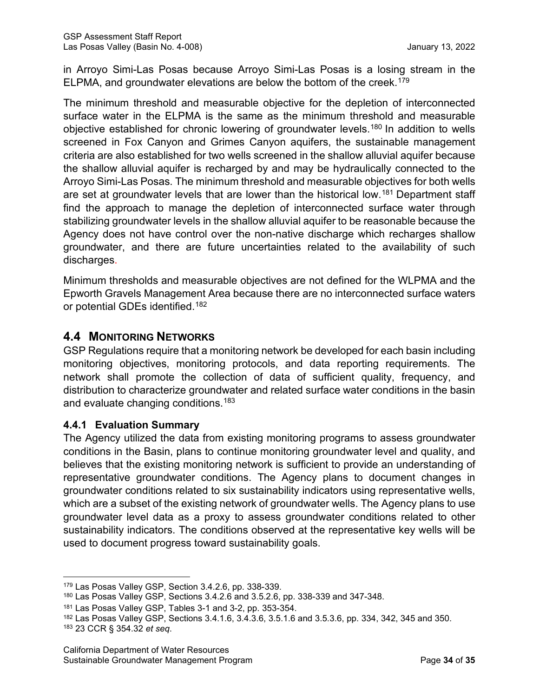in Arroyo Simi-Las Posas because Arroyo Simi-Las Posas is a losing stream in the ELPMA, and groundwater elevations are below the bottom of the creek.<sup>[179](#page-39-0)</sup>

The minimum threshold and measurable objective for the depletion of interconnected surface water in the ELPMA is the same as the minimum threshold and measurable objective established for chronic lowering of groundwater levels.[180](#page-39-1) In addition to wells screened in Fox Canyon and Grimes Canyon aquifers, the sustainable management criteria are also established for two wells screened in the shallow alluvial aquifer because the shallow alluvial aquifer is recharged by and may be hydraulically connected to the Arroyo Simi-Las Posas. The minimum threshold and measurable objectives for both wells are set at groundwater levels that are lower than the historical low.<sup>[181](#page-39-2)</sup> Department staff find the approach to manage the depletion of interconnected surface water through stabilizing groundwater levels in the shallow alluvial aquifer to be reasonable because the Agency does not have control over the non-native discharge which recharges shallow groundwater, and there are future uncertainties related to the availability of such discharges.

Minimum thresholds and measurable objectives are not defined for the WLPMA and the Epworth Gravels Management Area because there are no interconnected surface waters or potential GDEs identified.[182](#page-39-3)

# **4.4 MONITORING NETWORKS**

GSP Regulations require that a monitoring network be developed for each basin including monitoring objectives, monitoring protocols, and data reporting requirements. The network shall promote the collection of data of sufficient quality, frequency, and distribution to characterize groundwater and related surface water conditions in the basin and evaluate changing conditions.<sup>[183](#page-39-4)</sup>

#### **4.4.1 Evaluation Summary**

The Agency utilized the data from existing monitoring programs to assess groundwater conditions in the Basin, plans to continue monitoring groundwater level and quality, and believes that the existing monitoring network is sufficient to provide an understanding of representative groundwater conditions. The Agency plans to document changes in groundwater conditions related to six sustainability indicators using representative wells, which are a subset of the existing network of groundwater wells. The Agency plans to use groundwater level data as a proxy to assess groundwater conditions related to other sustainability indicators. The conditions observed at the representative key wells will be used to document progress toward sustainability goals.

<span id="page-39-0"></span><sup>179</sup> Las Posas Valley GSP, Section 3.4.2.6, pp. 338-339.

<span id="page-39-1"></span><sup>180</sup> Las Posas Valley GSP, Sections 3.4.2.6 and 3.5.2.6, pp. 338-339 and 347-348.

<span id="page-39-2"></span><sup>181</sup> Las Posas Valley GSP, Tables 3-1 and 3-2, pp. 353-354.

<span id="page-39-4"></span><span id="page-39-3"></span><sup>182</sup> Las Posas Valley GSP, Sections 3.4.1.6, 3.4.3.6, 3.5.1.6 and 3.5.3.6, pp. 334, 342, 345 and 350. <sup>183</sup> 23 CCR § 354.32 *et seq*.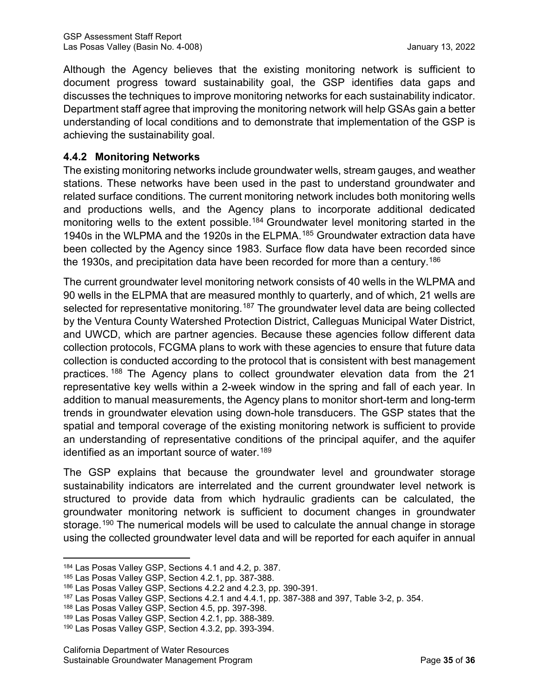Although the Agency believes that the existing monitoring network is sufficient to document progress toward sustainability goal, the GSP identifies data gaps and discusses the techniques to improve monitoring networks for each sustainability indicator. Department staff agree that improving the monitoring network will help GSAs gain a better understanding of local conditions and to demonstrate that implementation of the GSP is achieving the sustainability goal.

### **4.4.2 Monitoring Networks**

The existing monitoring networks include groundwater wells, stream gauges, and weather stations. These networks have been used in the past to understand groundwater and related surface conditions. The current monitoring network includes both monitoring wells and productions wells, and the Agency plans to incorporate additional dedicated monitoring wells to the extent possible. [184](#page-40-0) Groundwater level monitoring started in the 1940s in the WLPMA and the 1920s in the ELPMA.[185](#page-40-1) Groundwater extraction data have been collected by the Agency since 1983. Surface flow data have been recorded since the 1930s, and precipitation data have been recorded for more than a century.<sup>186</sup>

The current groundwater level monitoring network consists of 40 wells in the WLPMA and 90 wells in the ELPMA that are measured monthly to quarterly, and of which, 21 wells are selected for representative monitoring.<sup>[187](#page-40-3)</sup> The groundwater level data are being collected by the Ventura County Watershed Protection District, Calleguas Municipal Water District, and UWCD, which are partner agencies. Because these agencies follow different data collection protocols, FCGMA plans to work with these agencies to ensure that future data collection is conducted according to the protocol that is consistent with best management practices. <sup>[188](#page-40-4)</sup> The Agency plans to collect groundwater elevation data from the 21 representative key wells within a 2-week window in the spring and fall of each year. In addition to manual measurements, the Agency plans to monitor short-term and long-term trends in groundwater elevation using down-hole transducers. The GSP states that the spatial and temporal coverage of the existing monitoring network is sufficient to provide an understanding of representative conditions of the principal aquifer, and the aquifer identified as an important source of water.<sup>[189](#page-40-5)</sup>

The GSP explains that because the groundwater level and groundwater storage sustainability indicators are interrelated and the current groundwater level network is structured to provide data from which hydraulic gradients can be calculated, the groundwater monitoring network is sufficient to document changes in groundwater storage. [190](#page-40-6) The numerical models will be used to calculate the annual change in storage using the collected groundwater level data and will be reported for each aquifer in annual

<span id="page-40-0"></span><sup>184</sup> Las Posas Valley GSP, Sections 4.1 and 4.2, p. 387.

<span id="page-40-1"></span><sup>185</sup> Las Posas Valley GSP, Section 4.2.1, pp. 387-388.

<span id="page-40-2"></span><sup>186</sup> Las Posas Valley GSP, Sections 4.2.2 and 4.2.3, pp. 390-391.

<span id="page-40-3"></span><sup>187</sup> Las Posas Valley GSP, Sections 4.2.1 and 4.4.1, pp. 387-388 and 397, Table 3-2, p. 354.

<span id="page-40-4"></span><sup>188</sup> Las Posas Valley GSP, Section 4.5, pp. 397-398.

<span id="page-40-5"></span><sup>189</sup> Las Posas Valley GSP, Section 4.2.1, pp. 388-389.

<span id="page-40-6"></span><sup>190</sup> Las Posas Valley GSP, Section 4.3.2, pp. 393-394.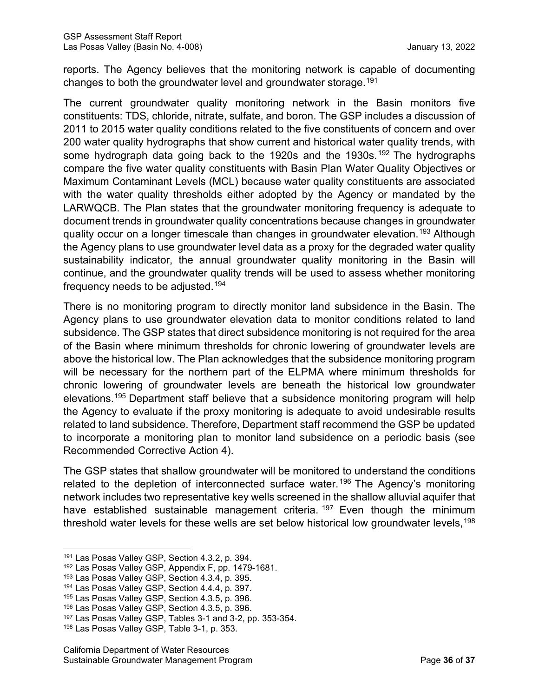reports. The Agency believes that the monitoring network is capable of documenting changes to both the groundwater level and groundwater storage.[191](#page-41-0)

The current groundwater quality monitoring network in the Basin monitors five constituents: TDS, chloride, nitrate, sulfate, and boron. The GSP includes a discussion of 2011 to 2015 water quality conditions related to the five constituents of concern and over 200 water quality hydrographs that show current and historical water quality trends, with some hydrograph data going back to the [192](#page-41-1)0s and the 1930s.<sup>192</sup> The hydrographs compare the five water quality constituents with Basin Plan Water Quality Objectives or Maximum Contaminant Levels (MCL) because water quality constituents are associated with the water quality thresholds either adopted by the Agency or mandated by the LARWQCB. The Plan states that the groundwater monitoring frequency is adequate to document trends in groundwater quality concentrations because changes in groundwater quality occur on a longer timescale than changes in groundwater elevation.<sup>[193](#page-41-2)</sup> Although the Agency plans to use groundwater level data as a proxy for the degraded water quality sustainability indicator, the annual groundwater quality monitoring in the Basin will continue, and the groundwater quality trends will be used to assess whether monitoring frequency needs to be adjusted. [194](#page-41-3)

There is no monitoring program to directly monitor land subsidence in the Basin. The Agency plans to use groundwater elevation data to monitor conditions related to land subsidence. The GSP states that direct subsidence monitoring is not required for the area of the Basin where minimum thresholds for chronic lowering of groundwater levels are above the historical low. The Plan acknowledges that the subsidence monitoring program will be necessary for the northern part of the ELPMA where minimum thresholds for chronic lowering of groundwater levels are beneath the historical low groundwater elevations. [195](#page-41-4) Department staff believe that a subsidence monitoring program will help the Agency to evaluate if the proxy monitoring is adequate to avoid undesirable results related to land subsidence. Therefore, Department staff recommend the GSP be updated to incorporate a monitoring plan to monitor land subsidence on a periodic basis (see Recommended Corrective Action 4).

The GSP states that shallow groundwater will be monitored to understand the conditions related to the depletion of interconnected surface water.<sup>[196](#page-41-5)</sup> The Agency's monitoring network includes two representative key wells screened in the shallow alluvial aquifer that have established sustainable management criteria.<sup>[197](#page-41-6)</sup> Even though the minimum threshold water levels for these wells are set below historical low groundwater levels, <sup>[198](#page-41-7)</sup>

<span id="page-41-0"></span><sup>191</sup> Las Posas Valley GSP, Section 4.3.2, p. 394.

<span id="page-41-1"></span><sup>192</sup> Las Posas Valley GSP, Appendix F, pp. 1479-1681.

<span id="page-41-2"></span><sup>193</sup> Las Posas Valley GSP, Section 4.3.4, p. 395.

<span id="page-41-3"></span><sup>194</sup> Las Posas Valley GSP, Section 4.4.4, p. 397.

<span id="page-41-4"></span><sup>195</sup> Las Posas Valley GSP, Section 4.3.5, p. 396.

<span id="page-41-5"></span><sup>196</sup> Las Posas Valley GSP, Section 4.3.5, p. 396.

<span id="page-41-6"></span><sup>197</sup> Las Posas Valley GSP, Tables 3-1 and 3-2, pp. 353-354.

<span id="page-41-7"></span><sup>198</sup> Las Posas Valley GSP, Table 3-1, p. 353.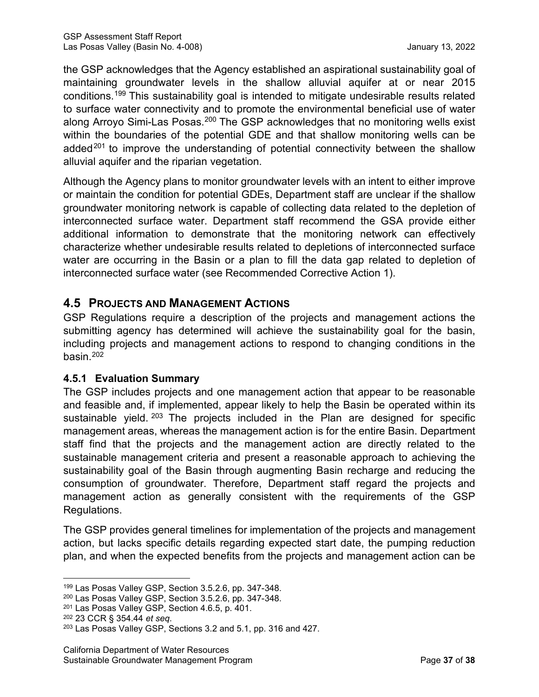the GSP acknowledges that the Agency established an aspirational sustainability goal of maintaining groundwater levels in the shallow alluvial aquifer at or near 2015 conditions. [199](#page-42-0) This sustainability goal is intended to mitigate undesirable results related to surface water connectivity and to promote the environmental beneficial use of water along Arroyo Simi-Las Posas.<sup>[200](#page-42-1)</sup> The GSP acknowledges that no monitoring wells exist within the boundaries of the potential GDE and that shallow monitoring wells can be added<sup>[201](#page-42-2)</sup> to improve the understanding of potential connectivity between the shallow alluvial aquifer and the riparian vegetation.

Although the Agency plans to monitor groundwater levels with an intent to either improve or maintain the condition for potential GDEs, Department staff are unclear if the shallow groundwater monitoring network is capable of collecting data related to the depletion of interconnected surface water. Department staff recommend the GSA provide either additional information to demonstrate that the monitoring network can effectively characterize whether undesirable results related to depletions of interconnected surface water are occurring in the Basin or a plan to fill the data gap related to depletion of interconnected surface water (see Recommended Corrective Action 1).

# **4.5 PROJECTS AND MANAGEMENT ACTIONS**

GSP Regulations require a description of the projects and management actions the submitting agency has determined will achieve the sustainability goal for the basin, including projects and management actions to respond to changing conditions in the basin.[202](#page-42-3)

#### **4.5.1 Evaluation Summary**

The GSP includes projects and one management action that appear to be reasonable and feasible and, if implemented, appear likely to help the Basin be operated within its sustainable yield. <sup>[203](#page-42-4)</sup> The projects included in the Plan are designed for specific management areas, whereas the management action is for the entire Basin. Department staff find that the projects and the management action are directly related to the sustainable management criteria and present a reasonable approach to achieving the sustainability goal of the Basin through augmenting Basin recharge and reducing the consumption of groundwater. Therefore, Department staff regard the projects and management action as generally consistent with the requirements of the GSP Regulations.

The GSP provides general timelines for implementation of the projects and management action, but lacks specific details regarding expected start date, the pumping reduction plan, and when the expected benefits from the projects and management action can be

<span id="page-42-0"></span><sup>199</sup> Las Posas Valley GSP, Section 3.5.2.6, pp. 347-348.

<span id="page-42-1"></span><sup>200</sup> Las Posas Valley GSP, Section 3.5.2.6, pp. 347-348.

<span id="page-42-2"></span><sup>201</sup> Las Posas Valley GSP, Section 4.6.5, p. 401.

<span id="page-42-3"></span><sup>202</sup> 23 CCR § 354.44 *et seq*.

<span id="page-42-4"></span><sup>203</sup> Las Posas Valley GSP, Sections 3.2 and 5.1, pp. 316 and 427.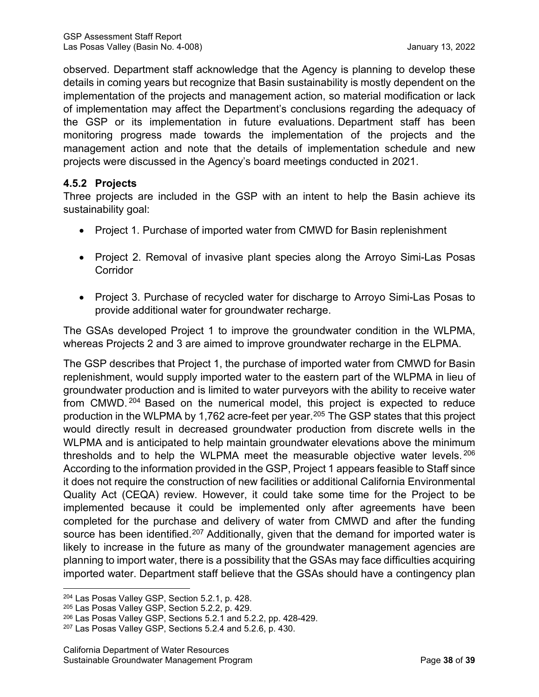observed. Department staff acknowledge that the Agency is planning to develop these details in coming years but recognize that Basin sustainability is mostly dependent on the implementation of the projects and management action, so material modification or lack of implementation may affect the Department's conclusions regarding the adequacy of the GSP or its implementation in future evaluations. Department staff has been monitoring progress made towards the implementation of the projects and the management action and note that the details of implementation schedule and new projects were discussed in the Agency's board meetings conducted in 2021.

# **4.5.2 Projects**

Three projects are included in the GSP with an intent to help the Basin achieve its sustainability goal:

- Project 1. Purchase of imported water from CMWD for Basin replenishment
- Project 2. Removal of invasive plant species along the Arroyo Simi-Las Posas **Corridor**
- Project 3. Purchase of recycled water for discharge to Arroyo Simi-Las Posas to provide additional water for groundwater recharge.

The GSAs developed Project 1 to improve the groundwater condition in the WLPMA, whereas Projects 2 and 3 are aimed to improve groundwater recharge in the ELPMA.

The GSP describes that Project 1, the purchase of imported water from CMWD for Basin replenishment, would supply imported water to the eastern part of the WLPMA in lieu of groundwater production and is limited to water purveyors with the ability to receive water from CMWD. [204](#page-43-0) Based on the numerical model, this project is expected to reduce production in the WLPMA by 1,762 acre-feet per year. [205](#page-43-1) The GSP states that this project would directly result in decreased groundwater production from discrete wells in the WLPMA and is anticipated to help maintain groundwater elevations above the minimum thresholds and to help the WLPMA meet the measurable objective water levels. [206](#page-43-2) According to the information provided in the GSP, Project 1 appears feasible to Staff since it does not require the construction of new facilities or additional California Environmental Quality Act (CEQA) review. However, it could take some time for the Project to be implemented because it could be implemented only after agreements have been completed for the purchase and delivery of water from CMWD and after the funding source has been identified.<sup>[207](#page-43-3)</sup> Additionally, given that the demand for imported water is likely to increase in the future as many of the groundwater management agencies are planning to import water, there is a possibility that the GSAs may face difficulties acquiring imported water. Department staff believe that the GSAs should have a contingency plan

<span id="page-43-0"></span><sup>204</sup> Las Posas Valley GSP, Section 5.2.1, p. 428.

<span id="page-43-1"></span><sup>205</sup> Las Posas Valley GSP, Section 5.2.2, p. 429.

<span id="page-43-2"></span><sup>206</sup> Las Posas Valley GSP, Sections 5.2.1 and 5.2.2, pp. 428-429.

<span id="page-43-3"></span><sup>207</sup> Las Posas Valley GSP, Sections 5.2.4 and 5.2.6, p. 430.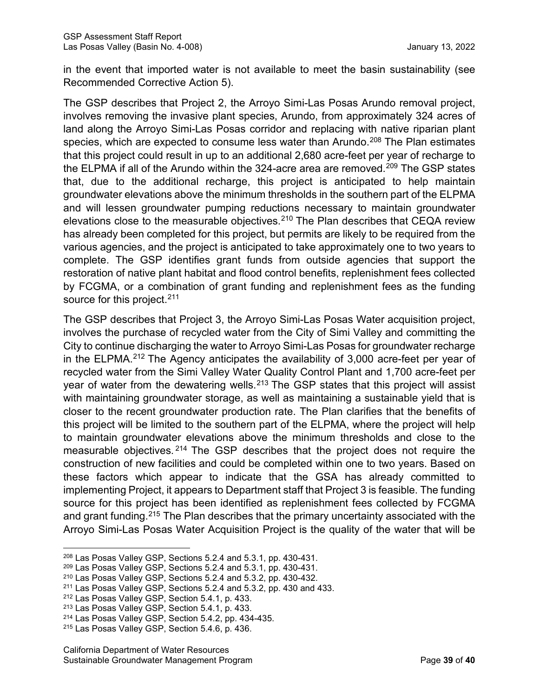in the event that imported water is not available to meet the basin sustainability (see Recommended Corrective Action 5).

The GSP describes that Project 2, the Arroyo Simi-Las Posas Arundo removal project, involves removing the invasive plant species, Arundo, from approximately 324 acres of land along the Arroyo Simi-Las Posas corridor and replacing with native riparian plant species, which are expected to consume less water than Arundo.<sup>[208](#page-44-0)</sup> The Plan estimates that this project could result in up to an additional 2,680 acre-feet per year of recharge to the ELPMA if all of the Arundo within the 324-acre area are removed.<sup>[209](#page-44-1)</sup> The GSP states that, due to the additional recharge, this project is anticipated to help maintain groundwater elevations above the minimum thresholds in the southern part of the ELPMA and will lessen groundwater pumping reductions necessary to maintain groundwater elevations close to the measurable objectives.<sup>[210](#page-44-2)</sup> The Plan describes that CEQA review has already been completed for this project, but permits are likely to be required from the various agencies, and the project is anticipated to take approximately one to two years to complete. The GSP identifies grant funds from outside agencies that support the restoration of native plant habitat and flood control benefits, replenishment fees collected by FCGMA, or a combination of grant funding and replenishment fees as the funding source for this project. [211](#page-44-3)

The GSP describes that Project 3, the Arroyo Simi-Las Posas Water acquisition project, involves the purchase of recycled water from the City of Simi Valley and committing the City to continue discharging the water to Arroyo Simi-Las Posas for groundwater recharge in the ELPMA.<sup>[212](#page-44-4)</sup> The Agency anticipates the availability of 3,000 acre-feet per year of recycled water from the Simi Valley Water Quality Control Plant and 1,700 acre-feet per year of water from the dewatering wells.<sup>[213](#page-44-5)</sup> The GSP states that this project will assist with maintaining groundwater storage, as well as maintaining a sustainable yield that is closer to the recent groundwater production rate. The Plan clarifies that the benefits of this project will be limited to the southern part of the ELPMA, where the project will help to maintain groundwater elevations above the minimum thresholds and close to the measurable objectives. <sup>[214](#page-44-6)</sup> The GSP describes that the project does not require the construction of new facilities and could be completed within one to two years. Based on these factors which appear to indicate that the GSA has already committed to implementing Project, it appears to Department staff that Project 3 is feasible. The funding source for this project has been identified as replenishment fees collected by FCGMA and grant funding.<sup>[215](#page-44-7)</sup> The Plan describes that the primary uncertainty associated with the Arroyo Simi-Las Posas Water Acquisition Project is the quality of the water that will be

<span id="page-44-0"></span><sup>208</sup> Las Posas Valley GSP, Sections 5.2.4 and 5.3.1, pp. 430-431.

<span id="page-44-1"></span><sup>209</sup> Las Posas Valley GSP, Sections 5.2.4 and 5.3.1, pp. 430-431.

<span id="page-44-2"></span><sup>210</sup> Las Posas Valley GSP, Sections 5.2.4 and 5.3.2, pp. 430-432.

<span id="page-44-3"></span><sup>211</sup> Las Posas Valley GSP, Sections 5.2.4 and 5.3.2, pp. 430 and 433.

<span id="page-44-4"></span><sup>212</sup> Las Posas Valley GSP, Section 5.4.1, p. 433.

<span id="page-44-5"></span><sup>213</sup> Las Posas Valley GSP, Section 5.4.1, p. 433.

<span id="page-44-6"></span><sup>214</sup> Las Posas Valley GSP, Section 5.4.2, pp. 434-435.

<span id="page-44-7"></span><sup>215</sup> Las Posas Valley GSP, Section 5.4.6, p. 436.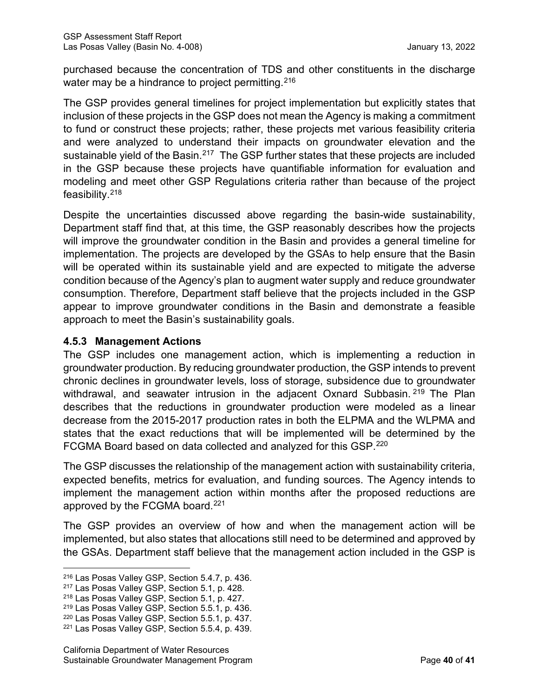purchased because the concentration of TDS and other constituents in the discharge water may be a hindrance to project permitting.  $216$ 

The GSP provides general timelines for project implementation but explicitly states that inclusion of these projects in the GSP does not mean the Agency is making a commitment to fund or construct these projects; rather, these projects met various feasibility criteria and were analyzed to understand their impacts on groundwater elevation and the sustainable vield of the Basin. $217$  The GSP further states that these projects are included in the GSP because these projects have quantifiable information for evaluation and modeling and meet other GSP Regulations criteria rather than because of the project feasibility.[218](#page-45-2)

Despite the uncertainties discussed above regarding the basin-wide sustainability, Department staff find that, at this time, the GSP reasonably describes how the projects will improve the groundwater condition in the Basin and provides a general timeline for implementation. The projects are developed by the GSAs to help ensure that the Basin will be operated within its sustainable yield and are expected to mitigate the adverse condition because of the Agency's plan to augment water supply and reduce groundwater consumption. Therefore, Department staff believe that the projects included in the GSP appear to improve groundwater conditions in the Basin and demonstrate a feasible approach to meet the Basin's sustainability goals.

# **4.5.3 Management Actions**

The GSP includes one management action, which is implementing a reduction in groundwater production. By reducing groundwater production, the GSP intends to prevent chronic declines in groundwater levels, loss of storage, subsidence due to groundwater withdrawal, and seawater intrusion in the adjacent Oxnard Subbasin. <sup>[219](#page-45-3)</sup> The Plan describes that the reductions in groundwater production were modeled as a linear decrease from the 2015-2017 production rates in both the ELPMA and the WLPMA and states that the exact reductions that will be implemented will be determined by the FCGMA Board based on data collected and analyzed for this GSP[.220](#page-45-4)

The GSP discusses the relationship of the management action with sustainability criteria, expected benefits, metrics for evaluation, and funding sources. The Agency intends to implement the management action within months after the proposed reductions are approved by the FCGMA board.<sup>[221](#page-45-5)</sup>

The GSP provides an overview of how and when the management action will be implemented, but also states that allocations still need to be determined and approved by the GSAs. Department staff believe that the management action included in the GSP is

<span id="page-45-0"></span><sup>216</sup> Las Posas Valley GSP, Section 5.4.7, p. 436.

<span id="page-45-1"></span><sup>217</sup> Las Posas Valley GSP, Section 5.1, p. 428.

<span id="page-45-2"></span><sup>218</sup> Las Posas Valley GSP, Section 5.1, p. 427.

<span id="page-45-3"></span><sup>219</sup> Las Posas Valley GSP, Section 5.5.1, p. 436.

<span id="page-45-4"></span><sup>220</sup> Las Posas Valley GSP, Section 5.5.1, p. 437.

<span id="page-45-5"></span><sup>221</sup> Las Posas Valley GSP, Section 5.5.4, p. 439.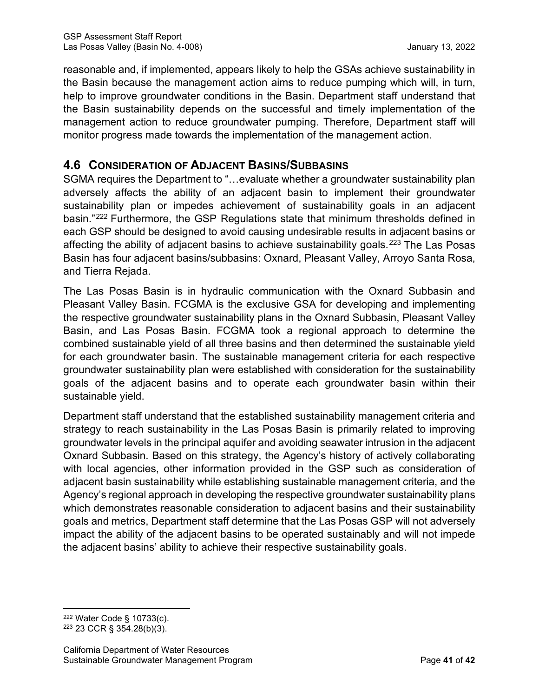reasonable and, if implemented, appears likely to help the GSAs achieve sustainability in the Basin because the management action aims to reduce pumping which will, in turn, help to improve groundwater conditions in the Basin. Department staff understand that the Basin sustainability depends on the successful and timely implementation of the management action to reduce groundwater pumping. Therefore, Department staff will monitor progress made towards the implementation of the management action.

# **4.6 CONSIDERATION OF ADJACENT BASINS/SUBBASINS**

SGMA requires the Department to "…evaluate whether a groundwater sustainability plan adversely affects the ability of an adjacent basin to implement their groundwater sustainability plan or impedes achievement of sustainability goals in an adjacent basin."[222](#page-46-0) Furthermore, the GSP Regulations state that minimum thresholds defined in each GSP should be designed to avoid causing undesirable results in adjacent basins or affecting the ability of adjacent basins to achieve sustainability goals.<sup>[223](#page-46-1)</sup> The Las Posas Basin has four adjacent basins/subbasins: Oxnard, Pleasant Valley, Arroyo Santa Rosa, and Tierra Rejada.

The Las Posas Basin is in hydraulic communication with the Oxnard Subbasin and Pleasant Valley Basin. FCGMA is the exclusive GSA for developing and implementing the respective groundwater sustainability plans in the Oxnard Subbasin, Pleasant Valley Basin, and Las Posas Basin. FCGMA took a regional approach to determine the combined sustainable yield of all three basins and then determined the sustainable yield for each groundwater basin. The sustainable management criteria for each respective groundwater sustainability plan were established with consideration for the sustainability goals of the adjacent basins and to operate each groundwater basin within their sustainable yield.

Department staff understand that the established sustainability management criteria and strategy to reach sustainability in the Las Posas Basin is primarily related to improving groundwater levels in the principal aquifer and avoiding seawater intrusion in the adjacent Oxnard Subbasin. Based on this strategy, the Agency's history of actively collaborating with local agencies, other information provided in the GSP such as consideration of adjacent basin sustainability while establishing sustainable management criteria, and the Agency's regional approach in developing the respective groundwater sustainability plans which demonstrates reasonable consideration to adjacent basins and their sustainability goals and metrics, Department staff determine that the Las Posas GSP will not adversely impact the ability of the adjacent basins to be operated sustainably and will not impede the adjacent basins' ability to achieve their respective sustainability goals.

<span id="page-46-0"></span><sup>222</sup> Water Code § 10733(c).

<span id="page-46-1"></span><sup>223</sup> 23 CCR § 354.28(b)(3).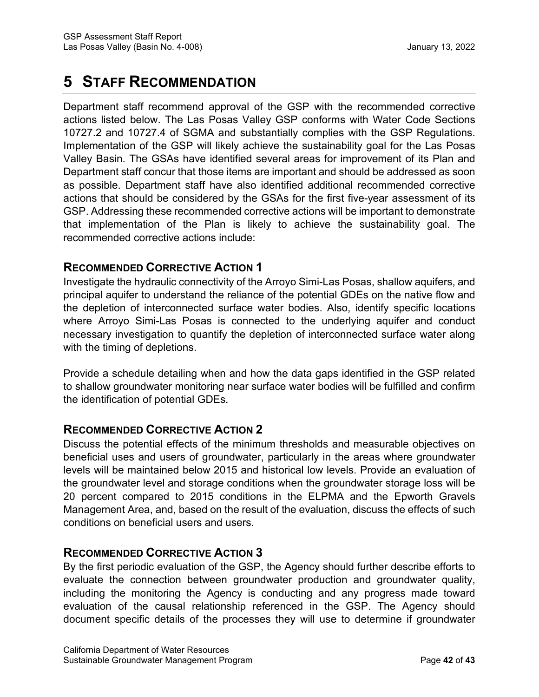# **5 STAFF RECOMMENDATION**

Department staff recommend approval of the GSP with the recommended corrective actions listed below. The Las Posas Valley GSP conforms with Water Code Sections 10727.2 and 10727.4 of SGMA and substantially complies with the GSP Regulations. Implementation of the GSP will likely achieve the sustainability goal for the Las Posas Valley Basin. The GSAs have identified several areas for improvement of its Plan and Department staff concur that those items are important and should be addressed as soon as possible. Department staff have also identified additional recommended corrective actions that should be considered by the GSAs for the first five-year assessment of its GSP. Addressing these recommended corrective actions will be important to demonstrate that implementation of the Plan is likely to achieve the sustainability goal. The recommended corrective actions include:

# **RECOMMENDED CORRECTIVE ACTION 1**

Investigate the hydraulic connectivity of the Arroyo Simi-Las Posas, shallow aquifers, and principal aquifer to understand the reliance of the potential GDEs on the native flow and the depletion of interconnected surface water bodies. Also, identify specific locations where Arroyo Simi-Las Posas is connected to the underlying aquifer and conduct necessary investigation to quantify the depletion of interconnected surface water along with the timing of depletions.

Provide a schedule detailing when and how the data gaps identified in the GSP related to shallow groundwater monitoring near surface water bodies will be fulfilled and confirm the identification of potential GDEs.

# <span id="page-47-0"></span>**RECOMMENDED CORRECTIVE ACTION 2**

Discuss the potential effects of the minimum thresholds and measurable objectives on beneficial uses and users of groundwater, particularly in the areas where groundwater levels will be maintained below 2015 and historical low levels. Provide an evaluation of the groundwater level and storage conditions when the groundwater storage loss will be 20 percent compared to 2015 conditions in the ELPMA and the Epworth Gravels Management Area, and, based on the result of the evaluation, discuss the effects of such conditions on beneficial users and users.

# **RECOMMENDED CORRECTIVE ACTION 3**

By the first periodic evaluation of the GSP, the Agency should further describe efforts to evaluate the connection between groundwater production and groundwater quality, including the monitoring the Agency is conducting and any progress made toward evaluation of the causal relationship referenced in the GSP. The Agency should document specific details of the processes they will use to determine if groundwater